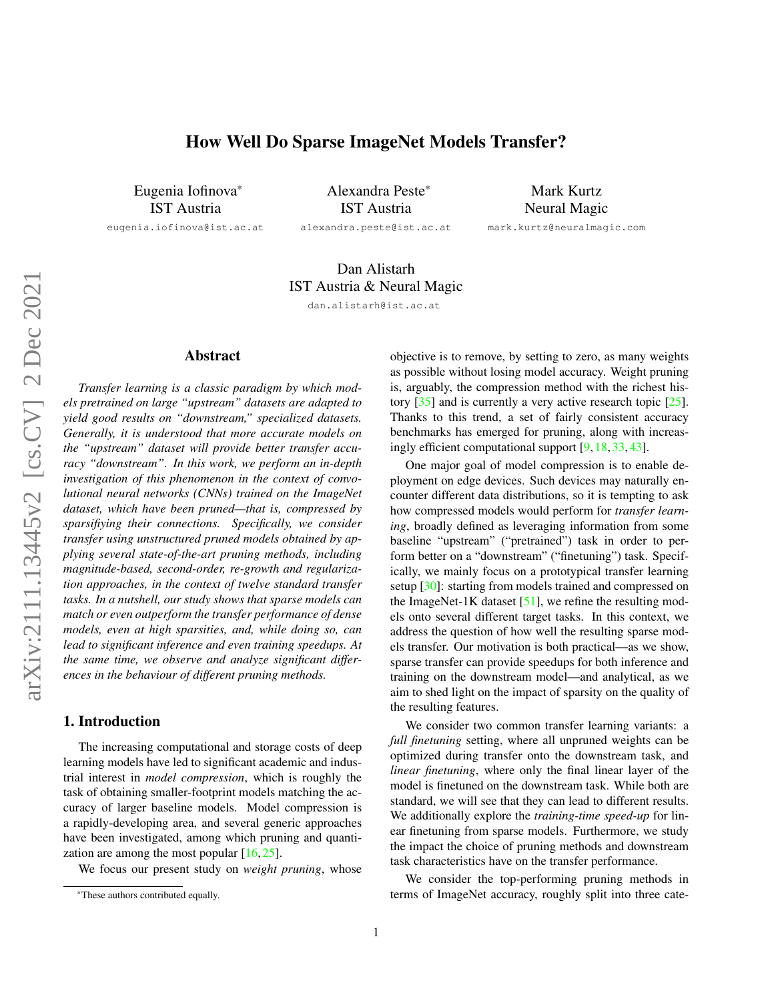# How Well Do Sparse ImageNet Models Transfer?

<span id="page-0-0"></span>Eugenia Iofinova\* IST Austria

eugenia.iofinova@ist.ac.at

Alexandra Peste\* IST Austria alexandra.peste@ist.ac.at

Mark Kurtz Neural Magic mark.kurtz@neuralmagic.com

# Dan Alistarh IST Austria & Neural Magic

dan.alistarh@ist.ac.at

## Abstract

*Transfer learning is a classic paradigm by which models pretrained on large "upstream" datasets are adapted to yield good results on "downstream," specialized datasets. Generally, it is understood that more accurate models on the "upstream" dataset will provide better transfer accuracy "downstream". In this work, we perform an in-depth investigation of this phenomenon in the context of convolutional neural networks (CNNs) trained on the ImageNet dataset, which have been pruned—that is, compressed by sparsifiying their connections. Specifically, we consider transfer using unstructured pruned models obtained by applying several state-of-the-art pruning methods, including magnitude-based, second-order, re-growth and regularization approaches, in the context of twelve standard transfer tasks. In a nutshell, our study shows that sparse models can match or even outperform the transfer performance of dense models, even at high sparsities, and, while doing so, can lead to significant inference and even training speedups. At the same time, we observe and analyze significant differences in the behaviour of different pruning methods.*

## 1. Introduction

The increasing computational and storage costs of deep learning models have led to significant academic and industrial interest in *model compression*, which is roughly the task of obtaining smaller-footprint models matching the accuracy of larger baseline models. Model compression is a rapidly-developing area, and several generic approaches have been investigated, among which pruning and quantization are among the most popular  $[16, 25]$  $[16, 25]$  $[16, 25]$ .

We focus our present study on *weight pruning*, whose

objective is to remove, by setting to zero, as many weights as possible without losing model accuracy. Weight pruning is, arguably, the compression method with the richest history [\[35\]](#page-9-1) and is currently a very active research topic [\[25\]](#page-9-0). Thanks to this trend, a set of fairly consistent accuracy benchmarks has emerged for pruning, along with increasingly efficient computational support [\[9,](#page-8-1) [18,](#page-9-2) [33,](#page-9-3) [43\]](#page-9-4).

One major goal of model compression is to enable deployment on edge devices. Such devices may naturally encounter different data distributions, so it is tempting to ask how compressed models would perform for *transfer learning*, broadly defined as leveraging information from some baseline "upstream" ("pretrained") task in order to perform better on a "downstream" ("finetuning") task. Specifically, we mainly focus on a prototypical transfer learning setup [\[30\]](#page-9-5): starting from models trained and compressed on the ImageNet-1K dataset  $[51]$ , we refine the resulting models onto several different target tasks. In this context, we address the question of how well the resulting sparse models transfer. Our motivation is both practical—as we show, sparse transfer can provide speedups for both inference and training on the downstream model—and analytical, as we aim to shed light on the impact of sparsity on the quality of the resulting features.

We consider two common transfer learning variants: a *full finetuning* setting, where all unpruned weights can be optimized during transfer onto the downstream task, and *linear finetuning*, where only the final linear layer of the model is finetuned on the downstream task. While both are standard, we will see that they can lead to different results. We additionally explore the *training-time speed-up* for linear finetuning from sparse models. Furthermore, we study the impact the choice of pruning methods and downstream task characteristics have on the transfer performance.

We consider the top-performing pruning methods in terms of ImageNet accuracy, roughly split into three cate-

<sup>\*</sup>These authors contributed equally.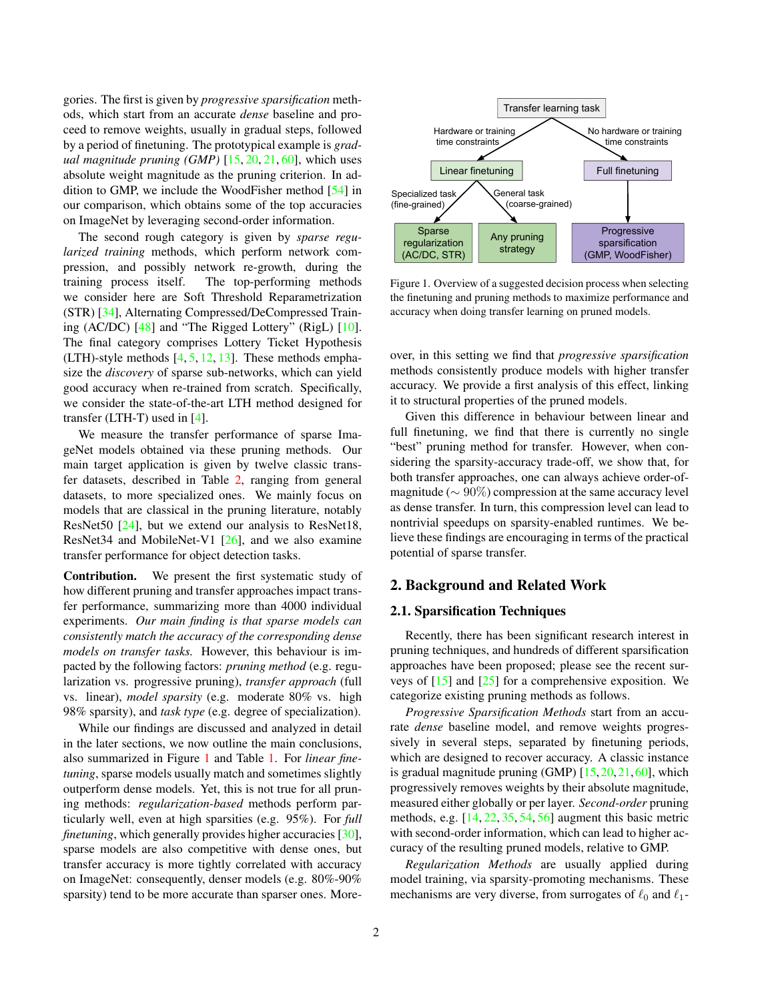<span id="page-1-2"></span>gories. The first is given by *progressive sparsification* methods, which start from an accurate *dense* baseline and proceed to remove weights, usually in gradual steps, followed by a period of finetuning. The prototypical example is *gradual magnitude pruning (GMP)* [\[15,](#page-8-2) [20,](#page-9-6) [21,](#page-9-7) [60\]](#page-10-1), which uses absolute weight magnitude as the pruning criterion. In addition to GMP, we include the WoodFisher method [\[54\]](#page-10-2) in our comparison, which obtains some of the top accuracies on ImageNet by leveraging second-order information.

The second rough category is given by *sparse regularized training* methods, which perform network compression, and possibly network re-growth, during the training process itself. The top-performing methods we consider here are Soft Threshold Reparametrization (STR) [\[34\]](#page-9-8), Alternating Compressed/DeCompressed Training (AC/DC) [\[48\]](#page-10-3) and "The Rigged Lottery" (RigL) [\[10\]](#page-8-3). The final category comprises Lottery Ticket Hypothesis (LTH)-style methods  $[4, 5, 12, 13]$  $[4, 5, 12, 13]$  $[4, 5, 12, 13]$  $[4, 5, 12, 13]$  $[4, 5, 12, 13]$  $[4, 5, 12, 13]$  $[4, 5, 12, 13]$ . These methods emphasize the *discovery* of sparse sub-networks, which can yield good accuracy when re-trained from scratch. Specifically, we consider the state-of-the-art LTH method designed for transfer (LTH-T) used in [\[4\]](#page-8-4).

We measure the transfer performance of sparse ImageNet models obtained via these pruning methods. Our main target application is given by twelve classic transfer datasets, described in Table [2,](#page-3-0) ranging from general datasets, to more specialized ones. We mainly focus on models that are classical in the pruning literature, notably ResNet50 [\[24\]](#page-9-9), but we extend our analysis to ResNet18, ResNet34 and MobileNet-V1 [\[26\]](#page-9-10), and we also examine transfer performance for object detection tasks.

Contribution. We present the first systematic study of how different pruning and transfer approaches impact transfer performance, summarizing more than 4000 individual experiments. *Our main finding is that sparse models can consistently match the accuracy of the corresponding dense models on transfer tasks.* However, this behaviour is impacted by the following factors: *pruning method* (e.g. regularization vs. progressive pruning), *transfer approach* (full vs. linear), *model sparsity* (e.g. moderate 80% vs. high 98% sparsity), and *task type* (e.g. degree of specialization).

While our findings are discussed and analyzed in detail in the later sections, we now outline the main conclusions, also summarized in Figure [1](#page-1-0) and Table [1.](#page-2-0) For *linear finetuning*, sparse models usually match and sometimes slightly outperform dense models. Yet, this is not true for all pruning methods: *regularization-based* methods perform particularly well, even at high sparsities (e.g. 95%). For *full finetuning*, which generally provides higher accuracies [\[30\]](#page-9-5), sparse models are also competitive with dense ones, but transfer accuracy is more tightly correlated with accuracy on ImageNet: consequently, denser models (e.g. 80%-90% sparsity) tend to be more accurate than sparser ones. More-

<span id="page-1-0"></span>

 accuracy when doing transfer learning on pruned models. Figure 1. Overview of a suggested decision process when selecting the finetuning and pruning methods to maximize performance and

over, in this setting we find that *progressive sparsification* methods consistently produce models with higher transfer accuracy. We provide a first analysis of this effect, linking it to structural properties of the pruned models.

Given this difference in behaviour between linear and full finetuning, we find that there is currently no single "best" pruning method for transfer. However, when considering the sparsity-accuracy trade-off, we show that, for both transfer approaches, one can always achieve order-ofmagnitude ( $\sim 90\%$ ) compression at the same accuracy level as dense transfer. In turn, this compression level can lead to nontrivial speedups on sparsity-enabled runtimes. We believe these findings are encouraging in terms of the practical potential of sparse transfer.

### 2. Background and Related Work

## <span id="page-1-1"></span>2.1. Sparsification Techniques

Recently, there has been significant research interest in pruning techniques, and hundreds of different sparsification approaches have been proposed; please see the recent surveys of  $[15]$  and  $[25]$  for a comprehensive exposition. We categorize existing pruning methods as follows.

*Progressive Sparsification Methods* start from an accurate *dense* baseline model, and remove weights progressively in several steps, separated by finetuning periods, which are designed to recover accuracy. A classic instance is gradual magnitude pruning  $(GMP)$   $[15, 20, 21, 60]$  $[15, 20, 21, 60]$  $[15, 20, 21, 60]$  $[15, 20, 21, 60]$  $[15, 20, 21, 60]$  $[15, 20, 21, 60]$  $[15, 20, 21, 60]$ , which progressively removes weights by their absolute magnitude, measured either globally or per layer. *Second-order* pruning methods, e.g. [\[14,](#page-8-8) [22,](#page-9-11) [35,](#page-9-1) [54,](#page-10-2) [56\]](#page-10-4) augment this basic metric with second-order information, which can lead to higher accuracy of the resulting pruned models, relative to GMP.

*Regularization Methods* are usually applied during model training, via sparsity-promoting mechanisms. These mechanisms are very diverse, from surrogates of  $\ell_0$  and  $\ell_1$ -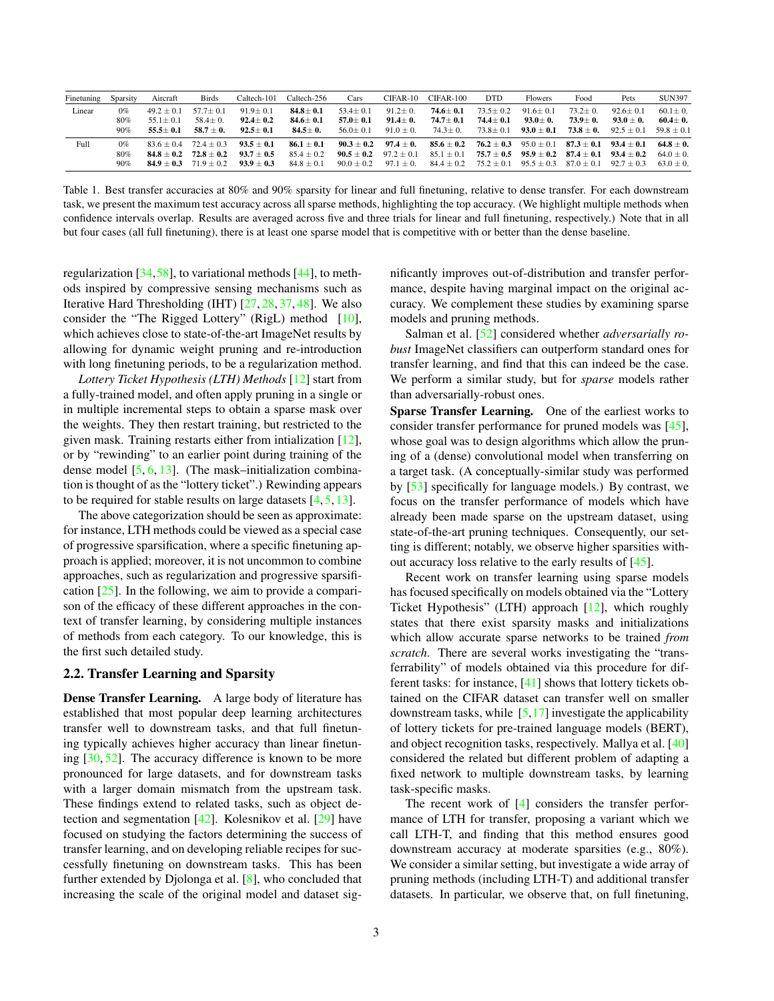<span id="page-2-1"></span><span id="page-2-0"></span>

| Finetuning | Sparsity | Aircraft     | <b>Birds</b>  | Caltech-101  | Caltech-256    | Cars         | $CIFAR-10$    | $CIFAR-100$    | <b>DTD</b>     | <b>Flowers</b> | Food           | Pets           | <b>SUN397</b> |
|------------|----------|--------------|---------------|--------------|----------------|--------------|---------------|----------------|----------------|----------------|----------------|----------------|---------------|
| Linear     | $0\%$    | $49.2 + 0.1$ | $57.7 + 0.1$  | $91.9 + 0.1$ | $84.8 \pm 0.1$ | $53.4 + 0.1$ | $91.2 + 0.$   | $74.6 + 0.1$   | $73.5 + 0.2$   | $91.6 + 0.1$   | $73.2 + 0.$    | $92.6 \pm 0.1$ | $60.1 \pm 0.$ |
|            | 80%      | $55.1 + 0.1$ | $58.4 \pm 0.$ | $92.4 + 0.2$ | $84.6 \pm 0.1$ | $57.0 + 0.1$ | $91.4 + 0.$   | $74.7 + 0.1$   | $74.4 + 0.1$   | $93.0 + 0.$    | $73.9 + 0.$    | $93.0 \pm 0.$  | $60.4 + 0.$   |
|            | 90%      | $55.5 + 0.1$ | $58.7 + 0.$   | $92.5 + 0.1$ | $84.5 \pm 0.$  | $56.0 + 0.1$ | $91.0 + 0.$   | $74.3 + 0.$    | $73.8 + 0.1$   | $93.0 + 0.1$   | $73.8 \pm 0.$  | $92.5 + 0.1$   | $59.8 + 0.1$  |
| Full       | $0\%$    | $83.6 + 0.4$ | $72.4 + 0.3$  | $93.5 + 0.1$ | $86.1 + 0.1$   | $90.3 + 0.2$ | $97.4 + 0.$   | $85.6 + 0.2$   | $76.2 + 0.3$   | $95.0 + 0.1$   | $87.3 + 0.1$   | $93.4 + 0.1$   | $64.8 + 0.$   |
|            | 80%      | $84.8 + 0.2$ | $72.8 + 0.2$  | $93.7 + 0.5$ | $85.4 + 0.2$   | $90.5 + 0.2$ | $97.2 + 0.1$  | $85.1 + 0.1$   | $75.7 + 0.5$   | $95.9 + 0.2$   | $87.4 + 0.1$   | $93.4 + 0.2$   | $64.0 + 0.$   |
|            | 90%      | $84.9 + 0.3$ | $71.9 + 0.2$  | $93.9 + 0.3$ | $84.8 + 0.1$   | $90.0 + 0.2$ | $97.1 \pm 0.$ | $84.4 \pm 0.2$ | $75.2 \pm 0.1$ | $95.5 \pm 0.3$ | $87.0 \pm 0.1$ | $92.7 + 0.3$   | $63.0 + 0.$   |

Table 1. Best transfer accuracies at 80% and 90% sparsity for linear and full finetuning, relative to dense transfer. For each downstream task, we present the maximum test accuracy across all sparse methods, highlighting the top accuracy. (We highlight multiple methods when confidence intervals overlap. Results are averaged across five and three trials for linear and full finetuning, respectively.) Note that in all but four cases (all full finetuning), there is at least one sparse model that is competitive with or better than the dense baseline.

regularization [\[34,](#page-9-8)[58\]](#page-10-5), to variational methods [\[44\]](#page-9-12), to methods inspired by compressive sensing mechanisms such as Iterative Hard Thresholding (IHT) [\[27,](#page-9-13) [28,](#page-9-14) [37,](#page-9-15) [48\]](#page-10-3). We also consider the "The Rigged Lottery" (RigL) method [\[10\]](#page-8-3), which achieves close to state-of-the-art ImageNet results by allowing for dynamic weight pruning and re-introduction with long finetuning periods, to be a regularization method.

*Lottery Ticket Hypothesis (LTH) Methods* [\[12\]](#page-8-6) start from a fully-trained model, and often apply pruning in a single or in multiple incremental steps to obtain a sparse mask over the weights. They then restart training, but restricted to the given mask. Training restarts either from intialization [\[12\]](#page-8-6), or by "rewinding" to an earlier point during training of the dense model [\[5,](#page-8-5) [6,](#page-8-9) [13\]](#page-8-7). (The mask–initialization combination is thought of as the "lottery ticket".) Rewinding appears to be required for stable results on large datasets  $[4, 5, 13]$  $[4, 5, 13]$  $[4, 5, 13]$  $[4, 5, 13]$  $[4, 5, 13]$ .

The above categorization should be seen as approximate: for instance, LTH methods could be viewed as a special case of progressive sparsification, where a specific finetuning approach is applied; moreover, it is not uncommon to combine approaches, such as regularization and progressive sparsification [\[25\]](#page-9-0). In the following, we aim to provide a comparison of the efficacy of these different approaches in the context of transfer learning, by considering multiple instances of methods from each category. To our knowledge, this is the first such detailed study.

## 2.2. Transfer Learning and Sparsity

Dense Transfer Learning. A large body of literature has established that most popular deep learning architectures transfer well to downstream tasks, and that full finetuning typically achieves higher accuracy than linear finetuning [\[30,](#page-9-5) [52\]](#page-10-6). The accuracy difference is known to be more pronounced for large datasets, and for downstream tasks with a larger domain mismatch from the upstream task. These findings extend to related tasks, such as object detection and segmentation [\[42\]](#page-9-16). Kolesnikov et al. [\[29\]](#page-9-17) have focused on studying the factors determining the success of transfer learning, and on developing reliable recipes for successfully finetuning on downstream tasks. This has been further extended by Djolonga et al. [\[8\]](#page-8-10), who concluded that increasing the scale of the original model and dataset significantly improves out-of-distribution and transfer performance, despite having marginal impact on the original accuracy. We complement these studies by examining sparse models and pruning methods.

Salman et al. [\[52\]](#page-10-6) considered whether *adversarially robust* ImageNet classifiers can outperform standard ones for transfer learning, and find that this can indeed be the case. We perform a similar study, but for *sparse* models rather than adversarially-robust ones.

Sparse Transfer Learning. One of the earliest works to consider transfer performance for pruned models was [\[45\]](#page-9-18), whose goal was to design algorithms which allow the pruning of a (dense) convolutional model when transferring on a target task. (A conceptually-similar study was performed by [\[53\]](#page-10-7) specifically for language models.) By contrast, we focus on the transfer performance of models which have already been made sparse on the upstream dataset, using state-of-the-art pruning techniques. Consequently, our setting is different; notably, we observe higher sparsities without accuracy loss relative to the early results of [\[45\]](#page-9-18).

Recent work on transfer learning using sparse models has focused specifically on models obtained via the "Lottery Ticket Hypothesis" (LTH) approach [\[12\]](#page-8-6), which roughly states that there exist sparsity masks and initializations which allow accurate sparse networks to be trained *from scratch*. There are several works investigating the "transferrability" of models obtained via this procedure for different tasks: for instance, [\[41\]](#page-9-19) shows that lottery tickets obtained on the CIFAR dataset can transfer well on smaller downstream tasks, while  $[5,17]$  $[5,17]$  investigate the applicability of lottery tickets for pre-trained language models (BERT), and object recognition tasks, respectively. Mallya et al. [\[40\]](#page-9-21) considered the related but different problem of adapting a fixed network to multiple downstream tasks, by learning task-specific masks.

The recent work of [\[4\]](#page-8-4) considers the transfer performance of LTH for transfer, proposing a variant which we call LTH-T, and finding that this method ensures good downstream accuracy at moderate sparsities (e.g., 80%). We consider a similar setting, but investigate a wide array of pruning methods (including LTH-T) and additional transfer datasets. In particular, we observe that, on full finetuning,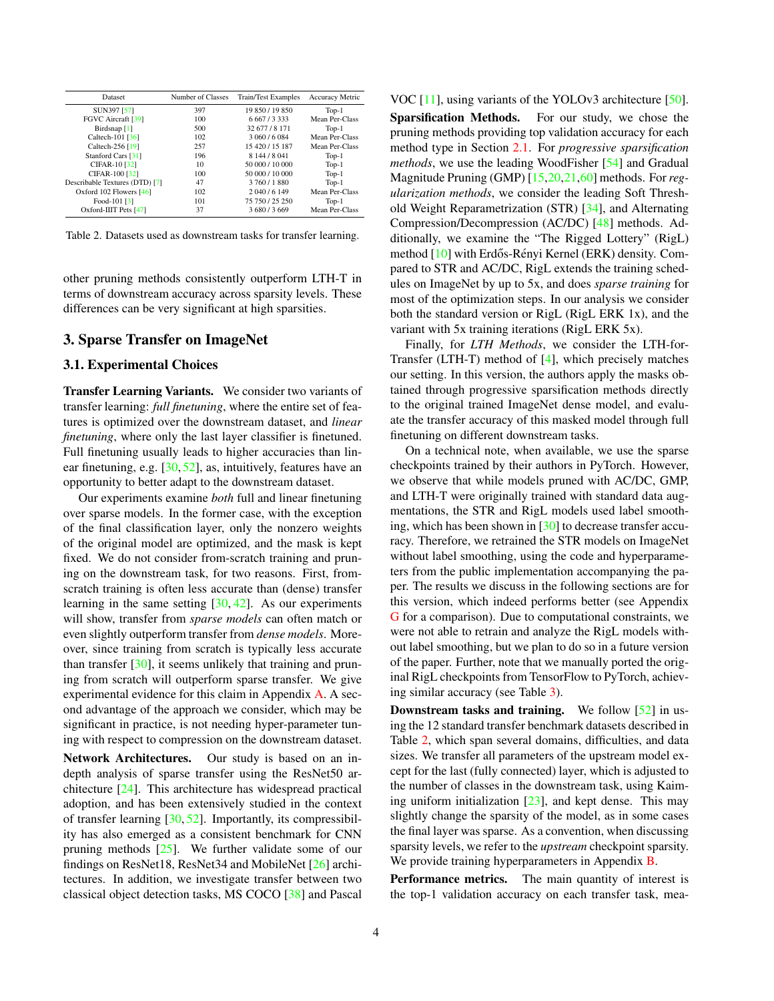<span id="page-3-1"></span><span id="page-3-0"></span>

| Dataset                        | Number of Classes | Train/Test Examples | <b>Accuracy Metric</b> |
|--------------------------------|-------------------|---------------------|------------------------|
| SUN397 [57]                    | 397               | 19 850 / 19 850     | $Top-1$                |
| FGVC Aircraft [39]             | 100               | 6 6 6 7 / 3 3 3 3   | Mean Per-Class         |
| Birdsnap [1]                   | 500               | 32 677 / 8 171      | $Top-1$                |
| Caltech-101 $[36]$             | 102               | 3 060 / 6 084       | Mean Per-Class         |
| Caltech-256 [19]               | 257               | 15 420 / 15 187     | Mean Per-Class         |
| Stanford Cars [31]             | 196               | 8 144 / 8 041       | $Top-1$                |
| CIFAR-10 [32]                  | 10                | 50 000 / 10 000     | $Top-1$                |
| CIFAR-100 [32]                 | 100               | 50 000 / 10 000     | $Top-1$                |
| Describable Textures (DTD) [7] | 47                | 3 760 / 1 880       | $Top-1$                |
| Oxford 102 Flowers $[46]$      | 102               | 2 040 / 6 149       | Mean Per-Class         |
| Food-101 [3]                   | 101               | 75 750 / 25 250     | $Top-1$                |
| Oxford-IIIT Pets [47]          | 37                | 3 680 / 3 669       | Mean Per-Class         |

Table 2. Datasets used as downstream tasks for transfer learning.

other pruning methods consistently outperform LTH-T in terms of downstream accuracy across sparsity levels. These differences can be very significant at high sparsities.

### 3. Sparse Transfer on ImageNet

#### 3.1. Experimental Choices

Transfer Learning Variants. We consider two variants of transfer learning: *full finetuning*, where the entire set of features is optimized over the downstream dataset, and *linear finetuning*, where only the last layer classifier is finetuned. Full finetuning usually leads to higher accuracies than linear finetuning, e.g. [\[30,](#page-9-5) [52\]](#page-10-6), as, intuitively, features have an opportunity to better adapt to the downstream dataset.

Our experiments examine *both* full and linear finetuning over sparse models. In the former case, with the exception of the final classification layer, only the nonzero weights of the original model are optimized, and the mask is kept fixed. We do not consider from-scratch training and pruning on the downstream task, for two reasons. First, fromscratch training is often less accurate than (dense) transfer learning in the same setting [\[30,](#page-9-5) [42\]](#page-9-16). As our experiments will show, transfer from *sparse models* can often match or even slightly outperform transfer from *dense models*. Moreover, since training from scratch is typically less accurate than transfer [\[30\]](#page-9-5), it seems unlikely that training and pruning from scratch will outperform sparse transfer. We give experimental evidence for this claim in Appendix [A.](#page-11-0) A second advantage of the approach we consider, which may be significant in practice, is not needing hyper-parameter tuning with respect to compression on the downstream dataset.

Network Architectures. Our study is based on an indepth analysis of sparse transfer using the ResNet50 architecture [\[24\]](#page-9-9). This architecture has widespread practical adoption, and has been extensively studied in the context of transfer learning  $[30, 52]$  $[30, 52]$  $[30, 52]$ . Importantly, its compressibility has also emerged as a consistent benchmark for CNN pruning methods  $[25]$ . We further validate some of our findings on ResNet18, ResNet34 and MobileNet [\[26\]](#page-9-10) architectures. In addition, we investigate transfer between two classical object detection tasks, MS COCO [\[38\]](#page-9-27) and Pascal

VOC [\[11\]](#page-8-14), using variants of the YOLOv3 architecture [\[50\]](#page-10-11).

Sparsification Methods. For our study, we chose the pruning methods providing top validation accuracy for each method type in Section [2.1.](#page-1-1) For *progressive sparsification methods*, we use the leading WoodFisher [\[54\]](#page-10-2) and Gradual Magnitude Pruning (GMP) [\[15,](#page-8-2)[20,](#page-9-6)[21](#page-9-7)[,60\]](#page-10-1) methods. For*regularization methods*, we consider the leading Soft Threshold Weight Reparametrization (STR) [\[34\]](#page-9-8), and Alternating Compression/Decompression (AC/DC) [\[48\]](#page-10-3) methods. Additionally, we examine the "The Rigged Lottery" (RigL) method [\[10\]](#page-8-3) with Erdős-Rényi Kernel (ERK) density. Compared to STR and AC/DC, RigL extends the training schedules on ImageNet by up to 5x, and does *sparse training* for most of the optimization steps. In our analysis we consider both the standard version or RigL (RigL ERK 1x), and the variant with 5x training iterations (RigL ERK 5x).

Finally, for *LTH Methods*, we consider the LTH-for-Transfer (LTH-T) method of [\[4\]](#page-8-4), which precisely matches our setting. In this version, the authors apply the masks obtained through progressive sparsification methods directly to the original trained ImageNet dense model, and evaluate the transfer accuracy of this masked model through full finetuning on different downstream tasks.

On a technical note, when available, we use the sparse checkpoints trained by their authors in PyTorch. However, we observe that while models pruned with AC/DC, GMP, and LTH-T were originally trained with standard data augmentations, the STR and RigL models used label smoothing, which has been shown in  $[30]$  to decrease transfer accuracy. Therefore, we retrained the STR models on ImageNet without label smoothing, using the code and hyperparameters from the public implementation accompanying the paper. The results we discuss in the following sections are for this version, which indeed performs better (see Appendix [G](#page-18-0) for a comparison). Due to computational constraints, we were not able to retrain and analyze the RigL models without label smoothing, but we plan to do so in a future version of the paper. Further, note that we manually ported the original RigL checkpoints from TensorFlow to PyTorch, achieving similar accuracy (see Table [3\)](#page-4-0).

**Downstream tasks and training.** We follow  $\lceil 52 \rceil$  in using the 12 standard transfer benchmark datasets described in Table [2,](#page-3-0) which span several domains, difficulties, and data sizes. We transfer all parameters of the upstream model except for the last (fully connected) layer, which is adjusted to the number of classes in the downstream task, using Kaiming uniform initialization  $[23]$ , and kept dense. This may slightly change the sparsity of the model, as in some cases the final layer was sparse. As a convention, when discussing sparsity levels, we refer to the *upstream* checkpoint sparsity. We provide training hyperparameters in Appendix **B**.

Performance metrics. The main quantity of interest is the top-1 validation accuracy on each transfer task, mea-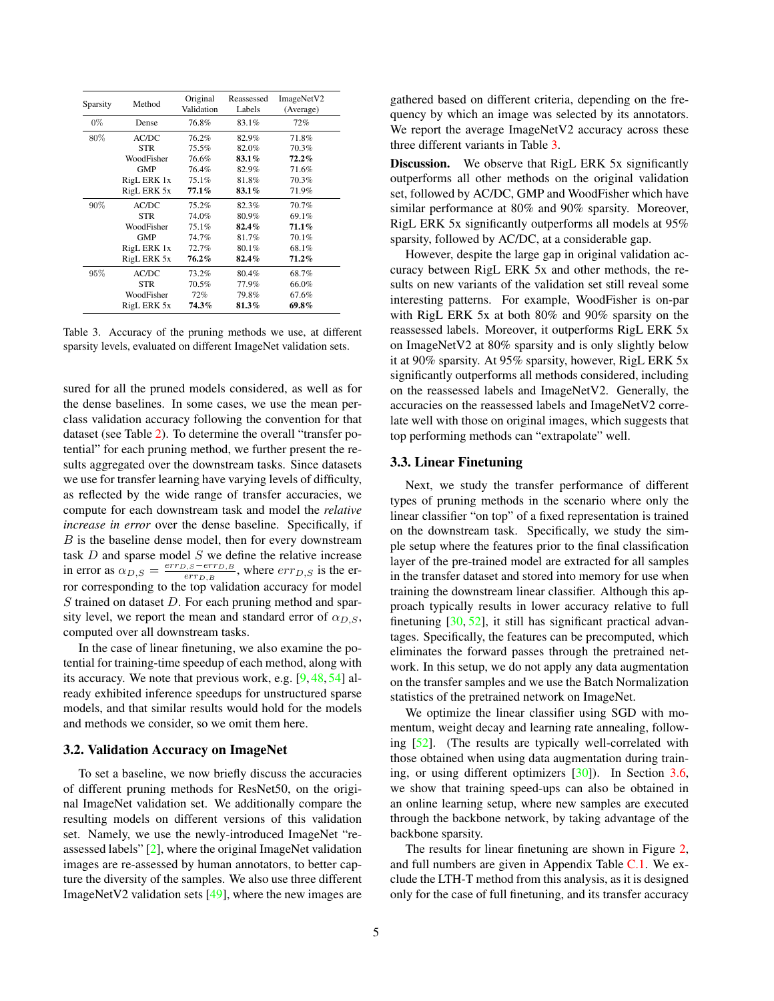<span id="page-4-2"></span><span id="page-4-0"></span>

| Sparsity | Method      | Original<br>Validation | Reassessed<br>Labels | ImageNetV2<br>(Average) |
|----------|-------------|------------------------|----------------------|-------------------------|
| $0\%$    | Dense       | 76.8%                  | 83.1%                | 72%                     |
| 80%      | AC/DC       | 76.2%                  | 82.9%                | 71.8%                   |
|          | <b>STR</b>  | 75.5%                  | 82.0%                | 70.3%                   |
|          | WoodFisher  | 76.6%                  | $83.1\%$             | $72.2\%$                |
|          | <b>GMP</b>  | 76.4%                  | 82.9%                | 71.6%                   |
|          | RigL ERK 1x | 75.1%                  | 81.8%                | 70.3%                   |
|          | RigL ERK 5x | $77.1\%$               | 83.1%                | 71.9%                   |
| 90%      | AC/DC       | 75.2%                  | 82.3%                | 70.7%                   |
|          | <b>STR</b>  | 74.0%                  | 80.9%                | 69.1%                   |
|          | WoodFisher  | 75.1%                  | $82.4\%$             | $71.1\%$                |
|          | <b>GMP</b>  | 74.7%                  | 81.7%                | 70.1%                   |
|          | RigL ERK 1x | 72.7%                  | 80.1%                | 68.1%                   |
|          | RigL ERK 5x | $76.2\%$               | 82.4%                | $71.2\%$                |
| 95%      | AC/DC       | 73.2%                  | 80.4%                | 68.7%                   |
|          | <b>STR</b>  | 70.5%                  | 77.9%                | 66.0%                   |
|          | WoodFisher  | 72%                    | 79.8%                | 67.6%                   |
|          | RigL ERK 5x | 74.3%                  | 81.3%                | $69.8\%$                |

Table 3. Accuracy of the pruning methods we use, at different sparsity levels, evaluated on different ImageNet validation sets.

sured for all the pruned models considered, as well as for the dense baselines. In some cases, we use the mean perclass validation accuracy following the convention for that dataset (see Table [2\)](#page-3-0). To determine the overall "transfer potential" for each pruning method, we further present the results aggregated over the downstream tasks. Since datasets we use for transfer learning have varying levels of difficulty, as reflected by the wide range of transfer accuracies, we compute for each downstream task and model the *relative increase in error* over the dense baseline. Specifically, if  $B$  is the baseline dense model, then for every downstream task  $D$  and sparse model  $S$  we define the relative increase in error as  $\alpha_{D,S} = \frac{err_{D,S} - err_{D,B}}{err_{D,B}}$  $\frac{\rho_{\beta} S - err_{D,B}}{err_{D,B}}$ , where  $err_{D,S}$  is the error corresponding to the top validation accuracy for model  $S$  trained on dataset  $D$ . For each pruning method and sparsity level, we report the mean and standard error of  $\alpha_{D,S}$ , computed over all downstream tasks.

In the case of linear finetuning, we also examine the potential for training-time speedup of each method, along with its accuracy. We note that previous work, e.g. [\[9,](#page-8-1) [48,](#page-10-3) [54\]](#page-10-2) already exhibited inference speedups for unstructured sparse models, and that similar results would hold for the models and methods we consider, so we omit them here.

#### 3.2. Validation Accuracy on ImageNet

To set a baseline, we now briefly discuss the accuracies of different pruning methods for ResNet50, on the original ImageNet validation set. We additionally compare the resulting models on different versions of this validation set. Namely, we use the newly-introduced ImageNet "reassessed labels" [\[2\]](#page-8-15), where the original ImageNet validation images are re-assessed by human annotators, to better capture the diversity of the samples. We also use three different ImageNetV2 validation sets [\[49\]](#page-10-12), where the new images are gathered based on different criteria, depending on the frequency by which an image was selected by its annotators. We report the average ImageNetV2 accuracy across these three different variants in Table [3.](#page-4-0)

Discussion. We observe that RigL ERK 5x significantly outperforms all other methods on the original validation set, followed by AC/DC, GMP and WoodFisher which have similar performance at 80% and 90% sparsity. Moreover, RigL ERK 5x significantly outperforms all models at 95% sparsity, followed by AC/DC, at a considerable gap.

However, despite the large gap in original validation accuracy between RigL ERK 5x and other methods, the results on new variants of the validation set still reveal some interesting patterns. For example, WoodFisher is on-par with RigL ERK 5x at both 80% and 90% sparsity on the reassessed labels. Moreover, it outperforms RigL ERK 5x on ImageNetV2 at 80% sparsity and is only slightly below it at 90% sparsity. At 95% sparsity, however, RigL ERK 5x significantly outperforms all methods considered, including on the reassessed labels and ImageNetV2. Generally, the accuracies on the reassessed labels and ImageNetV2 correlate well with those on original images, which suggests that top performing methods can "extrapolate" well.

#### <span id="page-4-1"></span>3.3. Linear Finetuning

Next, we study the transfer performance of different types of pruning methods in the scenario where only the linear classifier "on top" of a fixed representation is trained on the downstream task. Specifically, we study the simple setup where the features prior to the final classification layer of the pre-trained model are extracted for all samples in the transfer dataset and stored into memory for use when training the downstream linear classifier. Although this approach typically results in lower accuracy relative to full finetuning  $[30, 52]$  $[30, 52]$  $[30, 52]$ , it still has significant practical advantages. Specifically, the features can be precomputed, which eliminates the forward passes through the pretrained network. In this setup, we do not apply any data augmentation on the transfer samples and we use the Batch Normalization statistics of the pretrained network on ImageNet.

We optimize the linear classifier using SGD with momentum, weight decay and learning rate annealing, following [\[52\]](#page-10-6). (The results are typically well-correlated with those obtained when using data augmentation during training, or using different optimizers [\[30\]](#page-9-5)). In Section [3.6,](#page-7-0) we show that training speed-ups can also be obtained in an online learning setup, where new samples are executed through the backbone network, by taking advantage of the backbone sparsity.

The results for linear finetuning are shown in Figure [2,](#page-6-0) and full numbers are given in Appendix Table [C.1.](#page-13-0) We exclude the LTH-T method from this analysis, as it is designed only for the case of full finetuning, and its transfer accuracy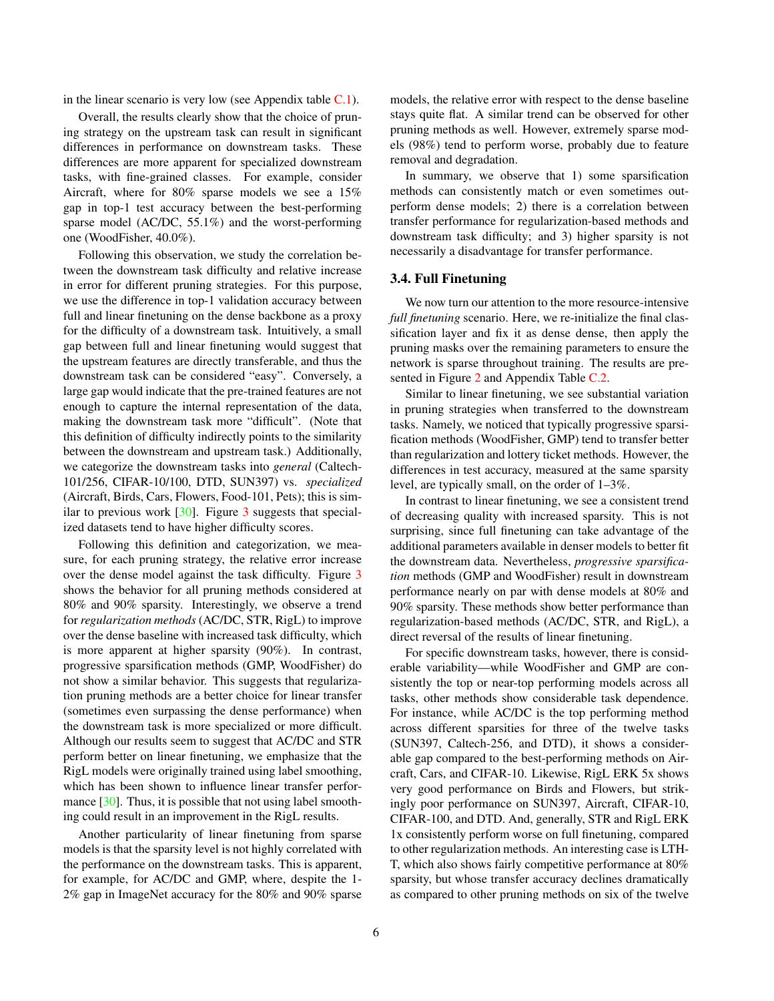<span id="page-5-0"></span>in the linear scenario is very low (see Appendix table  $C.1$ ).

Overall, the results clearly show that the choice of pruning strategy on the upstream task can result in significant differences in performance on downstream tasks. These differences are more apparent for specialized downstream tasks, with fine-grained classes. For example, consider Aircraft, where for 80% sparse models we see a 15% gap in top-1 test accuracy between the best-performing sparse model (AC/DC, 55.1%) and the worst-performing one (WoodFisher, 40.0%).

Following this observation, we study the correlation between the downstream task difficulty and relative increase in error for different pruning strategies. For this purpose, we use the difference in top-1 validation accuracy between full and linear finetuning on the dense backbone as a proxy for the difficulty of a downstream task. Intuitively, a small gap between full and linear finetuning would suggest that the upstream features are directly transferable, and thus the downstream task can be considered "easy". Conversely, a large gap would indicate that the pre-trained features are not enough to capture the internal representation of the data, making the downstream task more "difficult". (Note that this definition of difficulty indirectly points to the similarity between the downstream and upstream task.) Additionally, we categorize the downstream tasks into *general* (Caltech-101/256, CIFAR-10/100, DTD, SUN397) vs. *specialized* (Aircraft, Birds, Cars, Flowers, Food-101, Pets); this is similar to previous work  $[30]$ . Figure [3](#page-6-1) suggests that specialized datasets tend to have higher difficulty scores.

Following this definition and categorization, we measure, for each pruning strategy, the relative error increase over the dense model against the task difficulty. Figure [3](#page-6-1) shows the behavior for all pruning methods considered at 80% and 90% sparsity. Interestingly, we observe a trend for *regularization methods* (AC/DC, STR, RigL) to improve over the dense baseline with increased task difficulty, which is more apparent at higher sparsity (90%). In contrast, progressive sparsification methods (GMP, WoodFisher) do not show a similar behavior. This suggests that regularization pruning methods are a better choice for linear transfer (sometimes even surpassing the dense performance) when the downstream task is more specialized or more difficult. Although our results seem to suggest that AC/DC and STR perform better on linear finetuning, we emphasize that the RigL models were originally trained using label smoothing, which has been shown to influence linear transfer perfor-mance [\[30\]](#page-9-5). Thus, it is possible that not using label smoothing could result in an improvement in the RigL results.

Another particularity of linear finetuning from sparse models is that the sparsity level is not highly correlated with the performance on the downstream tasks. This is apparent, for example, for AC/DC and GMP, where, despite the 1- 2% gap in ImageNet accuracy for the 80% and 90% sparse models, the relative error with respect to the dense baseline stays quite flat. A similar trend can be observed for other pruning methods as well. However, extremely sparse models (98%) tend to perform worse, probably due to feature removal and degradation.

In summary, we observe that 1) some sparsification methods can consistently match or even sometimes outperform dense models; 2) there is a correlation between transfer performance for regularization-based methods and downstream task difficulty; and 3) higher sparsity is not necessarily a disadvantage for transfer performance.

#### <span id="page-5-1"></span>3.4. Full Finetuning

We now turn our attention to the more resource-intensive *full finetuning* scenario. Here, we re-initialize the final classification layer and fix it as dense dense, then apply the pruning masks over the remaining parameters to ensure the network is sparse throughout training. The results are presented in Figure [2](#page-6-0) and Appendix Table [C.2.](#page-14-0)

Similar to linear finetuning, we see substantial variation in pruning strategies when transferred to the downstream tasks. Namely, we noticed that typically progressive sparsification methods (WoodFisher, GMP) tend to transfer better than regularization and lottery ticket methods. However, the differences in test accuracy, measured at the same sparsity level, are typically small, on the order of 1–3%.

In contrast to linear finetuning, we see a consistent trend of decreasing quality with increased sparsity. This is not surprising, since full finetuning can take advantage of the additional parameters available in denser models to better fit the downstream data. Nevertheless, *progressive sparsification* methods (GMP and WoodFisher) result in downstream performance nearly on par with dense models at 80% and 90% sparsity. These methods show better performance than regularization-based methods (AC/DC, STR, and RigL), a direct reversal of the results of linear finetuning.

For specific downstream tasks, however, there is considerable variability—while WoodFisher and GMP are consistently the top or near-top performing models across all tasks, other methods show considerable task dependence. For instance, while AC/DC is the top performing method across different sparsities for three of the twelve tasks (SUN397, Caltech-256, and DTD), it shows a considerable gap compared to the best-performing methods on Aircraft, Cars, and CIFAR-10. Likewise, RigL ERK 5x shows very good performance on Birds and Flowers, but strikingly poor performance on SUN397, Aircraft, CIFAR-10, CIFAR-100, and DTD. And, generally, STR and RigL ERK 1x consistently perform worse on full finetuning, compared to other regularization methods. An interesting case is LTH-T, which also shows fairly competitive performance at 80% sparsity, but whose transfer accuracy declines dramatically as compared to other pruning methods on six of the twelve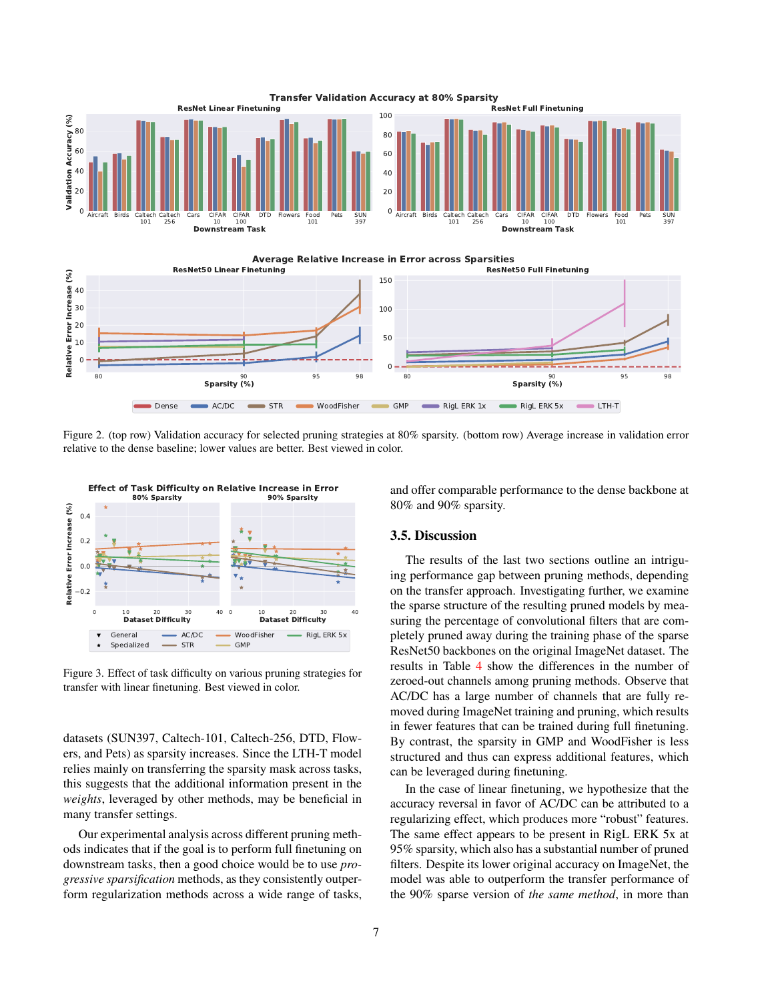<span id="page-6-0"></span>

Figure 2. (top row) Validation accuracy for selected pruning strategies at 80% sparsity. (bottom row) Average increase in validation error relative to the dense baseline; lower values are better. Best viewed in color.

<span id="page-6-1"></span>

Figure 3. Effect of task difficulty on various pruning strategies for transfer with linear finetuning. Best viewed in color.

datasets (SUN397, Caltech-101, Caltech-256, DTD, Flowers, and Pets) as sparsity increases. Since the LTH-T model relies mainly on transferring the sparsity mask across tasks, this suggests that the additional information present in the *weights*, leveraged by other methods, may be beneficial in many transfer settings.

Our experimental analysis across different pruning methods indicates that if the goal is to perform full finetuning on downstream tasks, then a good choice would be to use *progressive sparsification* methods, as they consistently outperform regularization methods across a wide range of tasks, and offer comparable performance to the dense backbone at 80% and 90% sparsity.

### 3.5. Discussion

The results of the last two sections outline an intriguing performance gap between pruning methods, depending on the transfer approach. Investigating further, we examine the sparse structure of the resulting pruned models by measuring the percentage of convolutional filters that are completely pruned away during the training phase of the sparse ResNet50 backbones on the original ImageNet dataset. The results in Table [4](#page-7-1) show the differences in the number of zeroed-out channels among pruning methods. Observe that AC/DC has a large number of channels that are fully removed during ImageNet training and pruning, which results in fewer features that can be trained during full finetuning. By contrast, the sparsity in GMP and WoodFisher is less structured and thus can express additional features, which can be leveraged during finetuning.

In the case of linear finetuning, we hypothesize that the accuracy reversal in favor of AC/DC can be attributed to a regularizing effect, which produces more "robust" features. The same effect appears to be present in RigL ERK 5x at 95% sparsity, which also has a substantial number of pruned filters. Despite its lower original accuracy on ImageNet, the model was able to outperform the transfer performance of the 90% sparse version of *the same method*, in more than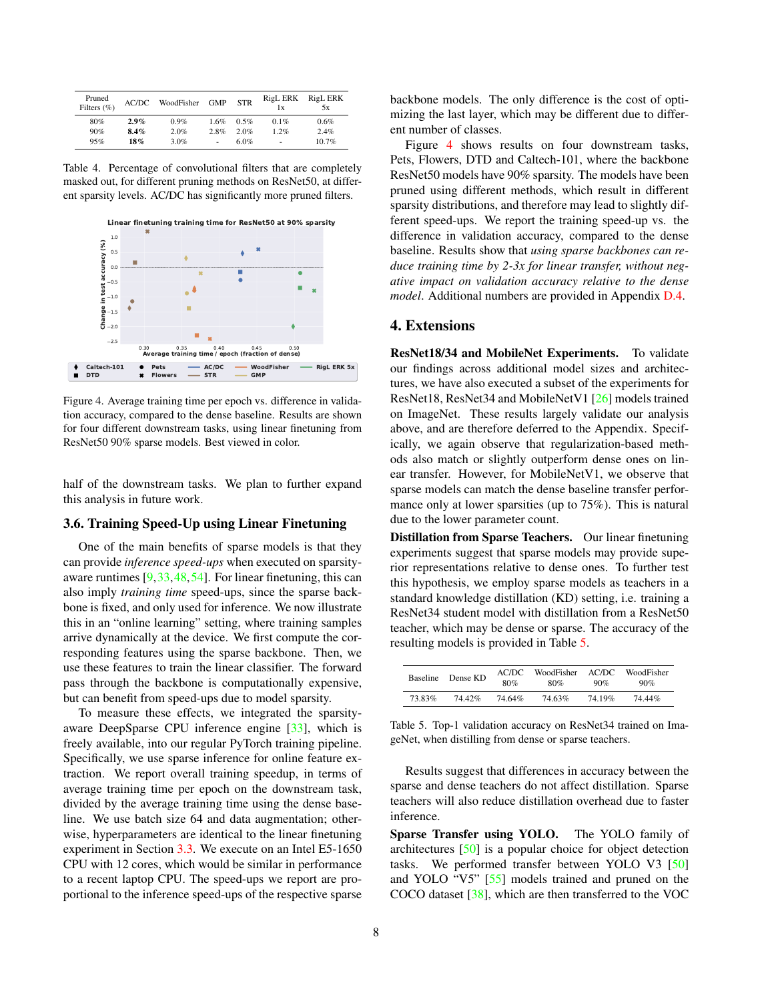<span id="page-7-4"></span><span id="page-7-1"></span>

| Pruned<br>Filters $(\% )$ | AC/DC   | WoodFisher | <b>GMP</b> | <b>STR</b> | <b>RigL ERK</b><br>1x | RigL ERK<br>5x |
|---------------------------|---------|------------|------------|------------|-----------------------|----------------|
| 80%                       | $2.9\%$ | 0.9%       | 1.6%       | 0.5%       | 0.1%                  | 0.6%           |
| 90%                       | 8.4%    | 2.0%       | 2.8%       | 2.0%       | 1.2%                  | 2.4%           |
| 95%                       | 18%     | 3.0%       | ٠          | 6.0%       | $\overline{a}$        | 10.7%          |

Table 4. Percentage of convolutional filters that are completely masked out, for different pruning methods on ResNet50, at different sparsity levels. AC/DC has significantly more pruned filters.

<span id="page-7-2"></span>

Figure 4. Average training time per epoch vs. difference in validation accuracy, compared to the dense baseline. Results are shown for four different downstream tasks, using linear finetuning from ResNet50 90% sparse models. Best viewed in color.

half of the downstream tasks. We plan to further expand this analysis in future work.

#### <span id="page-7-0"></span>3.6. Training Speed-Up using Linear Finetuning

One of the main benefits of sparse models is that they can provide *inference speed-ups* when executed on sparsityaware runtimes [\[9,](#page-8-1)[33,](#page-9-3)[48,](#page-10-3)[54\]](#page-10-2). For linear finetuning, this can also imply *training time* speed-ups, since the sparse backbone is fixed, and only used for inference. We now illustrate this in an "online learning" setting, where training samples arrive dynamically at the device. We first compute the corresponding features using the sparse backbone. Then, we use these features to train the linear classifier. The forward pass through the backbone is computationally expensive, but can benefit from speed-ups due to model sparsity.

To measure these effects, we integrated the sparsityaware DeepSparse CPU inference engine [\[33\]](#page-9-3), which is freely available, into our regular PyTorch training pipeline. Specifically, we use sparse inference for online feature extraction. We report overall training speedup, in terms of average training time per epoch on the downstream task, divided by the average training time using the dense baseline. We use batch size 64 and data augmentation; otherwise, hyperparameters are identical to the linear finetuning experiment in Section [3.3.](#page-4-1) We execute on an Intel E5-1650 CPU with 12 cores, which would be similar in performance to a recent laptop CPU. The speed-ups we report are proportional to the inference speed-ups of the respective sparse

backbone models. The only difference is the cost of optimizing the last layer, which may be different due to different number of classes.

Figure [4](#page-7-2) shows results on four downstream tasks, Pets, Flowers, DTD and Caltech-101, where the backbone ResNet50 models have 90% sparsity. The models have been pruned using different methods, which result in different sparsity distributions, and therefore may lead to slightly different speed-ups. We report the training speed-up vs. the difference in validation accuracy, compared to the dense baseline. Results show that *using sparse backbones can reduce training time by 2-3x for linear transfer, without negative impact on validation accuracy relative to the dense model*. Additional numbers are provided in Appendix [D.4.](#page-15-0)

### 4. Extensions

ResNet18/34 and MobileNet Experiments. To validate our findings across additional model sizes and architectures, we have also executed a subset of the experiments for ResNet18, ResNet34 and MobileNetV1 [\[26\]](#page-9-10) models trained on ImageNet. These results largely validate our analysis above, and are therefore deferred to the Appendix. Specifically, we again observe that regularization-based methods also match or slightly outperform dense ones on linear transfer. However, for MobileNetV1, we observe that sparse models can match the dense baseline transfer performance only at lower sparsities (up to 75%). This is natural due to the lower parameter count.

Distillation from Sparse Teachers. Our linear finetuning experiments suggest that sparse models may provide superior representations relative to dense ones. To further test this hypothesis, we employ sparse models as teachers in a standard knowledge distillation (KD) setting, i.e. training a ResNet34 student model with distillation from a ResNet50 teacher, which may be dense or sparse. The accuracy of the resulting models is provided in Table [5.](#page-7-3)

<span id="page-7-3"></span>

| <b>Baseline</b> | Dense KD | AC/DC<br>80% | WoodFisher<br>80% | AC/DC<br>90% | WoodFisher<br>90% |
|-----------------|----------|--------------|-------------------|--------------|-------------------|
| 73.83%          | 7442%    | 74.64%       | 74.63%            | 74 19%       | 74 44%            |

Table 5. Top-1 validation accuracy on ResNet34 trained on ImageNet, when distilling from dense or sparse teachers.

Results suggest that differences in accuracy between the sparse and dense teachers do not affect distillation. Sparse teachers will also reduce distillation overhead due to faster inference.

Sparse Transfer using YOLO. The YOLO family of architectures [\[50\]](#page-10-11) is a popular choice for object detection tasks. We performed transfer between YOLO V3 [\[50\]](#page-10-11) and YOLO "V5" [\[55\]](#page-10-13) models trained and pruned on the COCO dataset [\[38\]](#page-9-27), which are then transferred to the VOC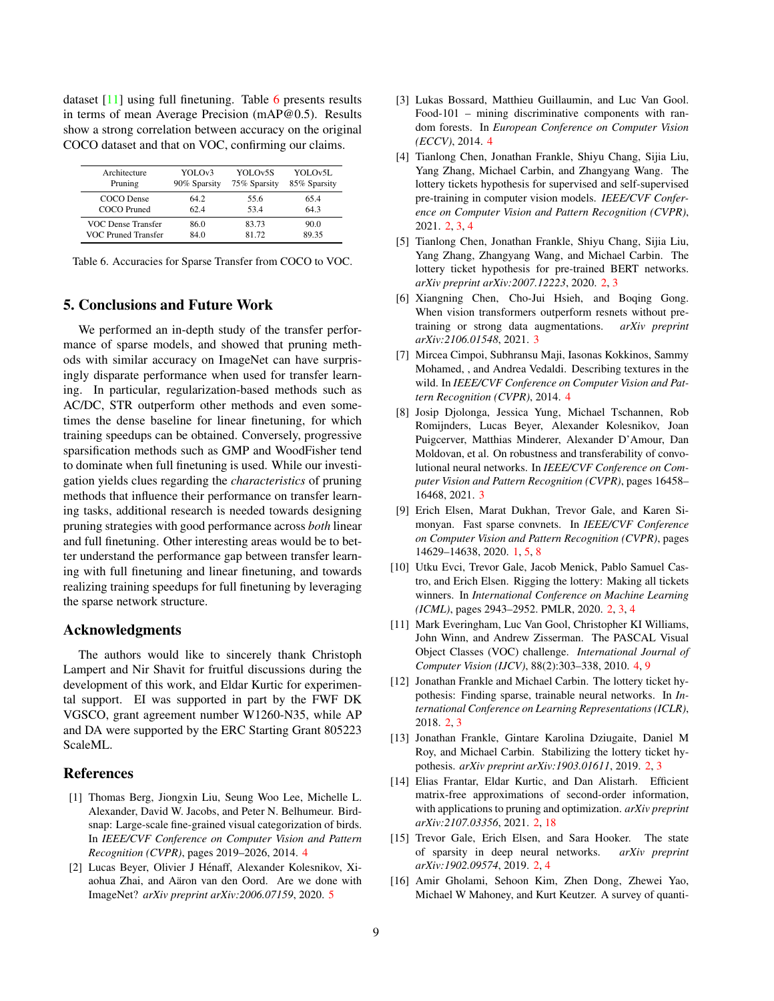<span id="page-8-17"></span>dataset [\[11\]](#page-8-14) using full finetuning. Table [6](#page-8-16) presents results in terms of mean Average Precision (mAP@0.5). Results show a strong correlation between accuracy on the original COCO dataset and that on VOC, confirming our claims.

<span id="page-8-16"></span>

| Architecture        | YOLOv3       | YOLOv5S      | YOLOv5L      |
|---------------------|--------------|--------------|--------------|
| Pruning             | 90% Sparsity | 75% Sparsity | 85% Sparsity |
| COCO Dense          | 64.2         | 55.6         | 65.4         |
| COCO Pruned         | 62.4         | 53.4         | 64.3         |
| VOC Dense Transfer  | 86.0         | 83.73        | 90.0         |
| VOC Pruned Transfer | 84.0         | 81 72        | 89.35        |

Table 6. Accuracies for Sparse Transfer from COCO to VOC.

## 5. Conclusions and Future Work

We performed an in-depth study of the transfer performance of sparse models, and showed that pruning methods with similar accuracy on ImageNet can have surprisingly disparate performance when used for transfer learning. In particular, regularization-based methods such as AC/DC, STR outperform other methods and even sometimes the dense baseline for linear finetuning, for which training speedups can be obtained. Conversely, progressive sparsification methods such as GMP and WoodFisher tend to dominate when full finetuning is used. While our investigation yields clues regarding the *characteristics* of pruning methods that influence their performance on transfer learning tasks, additional research is needed towards designing pruning strategies with good performance across *both* linear and full finetuning. Other interesting areas would be to better understand the performance gap between transfer learning with full finetuning and linear finetuning, and towards realizing training speedups for full finetuning by leveraging the sparse network structure.

#### Acknowledgments

The authors would like to sincerely thank Christoph Lampert and Nir Shavit for fruitful discussions during the development of this work, and Eldar Kurtic for experimental support. EI was supported in part by the FWF DK VGSCO, grant agreement number W1260-N35, while AP and DA were supported by the ERC Starting Grant 805223 ScaleML.

#### References

- <span id="page-8-11"></span>[1] Thomas Berg, Jiongxin Liu, Seung Woo Lee, Michelle L. Alexander, David W. Jacobs, and Peter N. Belhumeur. Birdsnap: Large-scale fine-grained visual categorization of birds. In *IEEE/CVF Conference on Computer Vision and Pattern Recognition (CVPR)*, pages 2019–2026, 2014. [4](#page-3-1)
- <span id="page-8-15"></span>[2] Lucas Beyer, Olivier J Hénaff, Alexander Kolesnikov, Xiaohua Zhai, and Aäron van den Oord. Are we done with ImageNet? *arXiv preprint arXiv:2006.07159*, 2020. [5](#page-4-2)
- <span id="page-8-13"></span>[3] Lukas Bossard, Matthieu Guillaumin, and Luc Van Gool. Food-101 – mining discriminative components with random forests. In *European Conference on Computer Vision (ECCV)*, 2014. [4](#page-3-1)
- <span id="page-8-4"></span>[4] Tianlong Chen, Jonathan Frankle, Shiyu Chang, Sijia Liu, Yang Zhang, Michael Carbin, and Zhangyang Wang. The lottery tickets hypothesis for supervised and self-supervised pre-training in computer vision models. *IEEE/CVF Conference on Computer Vision and Pattern Recognition (CVPR)*, 2021. [2,](#page-1-2) [3,](#page-2-1) [4](#page-3-1)
- <span id="page-8-5"></span>[5] Tianlong Chen, Jonathan Frankle, Shiyu Chang, Sijia Liu, Yang Zhang, Zhangyang Wang, and Michael Carbin. The lottery ticket hypothesis for pre-trained BERT networks. *arXiv preprint arXiv:2007.12223*, 2020. [2,](#page-1-2) [3](#page-2-1)
- <span id="page-8-9"></span>[6] Xiangning Chen, Cho-Jui Hsieh, and Boqing Gong. When vision transformers outperform resnets without pretraining or strong data augmentations. *arXiv preprint arXiv:2106.01548*, 2021. [3](#page-2-1)
- <span id="page-8-12"></span>[7] Mircea Cimpoi, Subhransu Maji, Iasonas Kokkinos, Sammy Mohamed, , and Andrea Vedaldi. Describing textures in the wild. In *IEEE/CVF Conference on Computer Vision and Pattern Recognition (CVPR)*, 2014. [4](#page-3-1)
- <span id="page-8-10"></span>[8] Josip Djolonga, Jessica Yung, Michael Tschannen, Rob Romijnders, Lucas Beyer, Alexander Kolesnikov, Joan Puigcerver, Matthias Minderer, Alexander D'Amour, Dan Moldovan, et al. On robustness and transferability of convolutional neural networks. In *IEEE/CVF Conference on Computer Vision and Pattern Recognition (CVPR)*, pages 16458– 16468, 2021. [3](#page-2-1)
- <span id="page-8-1"></span>[9] Erich Elsen, Marat Dukhan, Trevor Gale, and Karen Simonyan. Fast sparse convnets. In *IEEE/CVF Conference on Computer Vision and Pattern Recognition (CVPR)*, pages 14629–14638, 2020. [1,](#page-0-0) [5,](#page-4-2) [8](#page-7-4)
- <span id="page-8-3"></span>[10] Utku Evci, Trevor Gale, Jacob Menick, Pablo Samuel Castro, and Erich Elsen. Rigging the lottery: Making all tickets winners. In *International Conference on Machine Learning (ICML)*, pages 2943–2952. PMLR, 2020. [2,](#page-1-2) [3,](#page-2-1) [4](#page-3-1)
- <span id="page-8-14"></span>[11] Mark Everingham, Luc Van Gool, Christopher KI Williams, John Winn, and Andrew Zisserman. The PASCAL Visual Object Classes (VOC) challenge. *International Journal of Computer Vision (IJCV)*, 88(2):303–338, 2010. [4,](#page-3-1) [9](#page-8-17)
- <span id="page-8-6"></span>[12] Jonathan Frankle and Michael Carbin. The lottery ticket hypothesis: Finding sparse, trainable neural networks. In *International Conference on Learning Representations (ICLR)*, 2018. [2,](#page-1-2) [3](#page-2-1)
- <span id="page-8-7"></span>[13] Jonathan Frankle, Gintare Karolina Dziugaite, Daniel M Roy, and Michael Carbin. Stabilizing the lottery ticket hypothesis. *arXiv preprint arXiv:1903.01611*, 2019. [2,](#page-1-2) [3](#page-2-1)
- <span id="page-8-8"></span>[14] Elias Frantar, Eldar Kurtic, and Dan Alistarh. Efficient matrix-free approximations of second-order information, with applications to pruning and optimization. *arXiv preprint arXiv:2107.03356*, 2021. [2,](#page-1-2) [18](#page-17-0)
- <span id="page-8-2"></span>[15] Trevor Gale, Erich Elsen, and Sara Hooker. The state of sparsity in deep neural networks. *arXiv preprint arXiv:1902.09574*, 2019. [2,](#page-1-2) [4](#page-3-1)
- <span id="page-8-0"></span>[16] Amir Gholami, Sehoon Kim, Zhen Dong, Zhewei Yao, Michael W Mahoney, and Kurt Keutzer. A survey of quanti-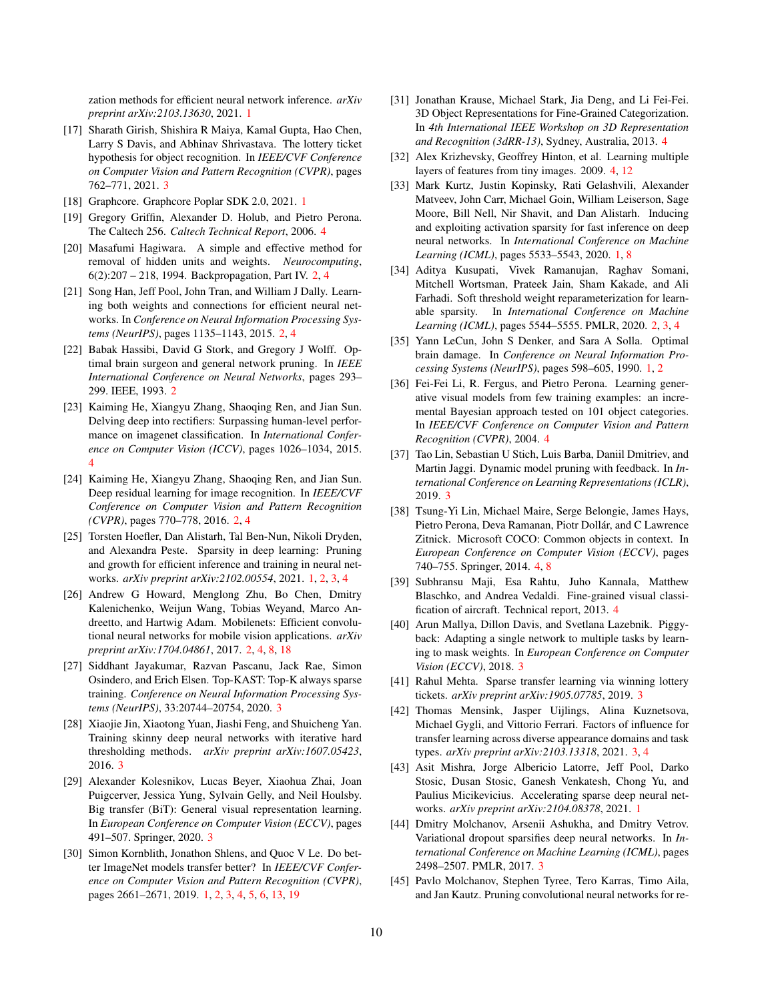zation methods for efficient neural network inference. *arXiv preprint arXiv:2103.13630*, 2021. [1](#page-0-0)

- <span id="page-9-20"></span>[17] Sharath Girish, Shishira R Maiya, Kamal Gupta, Hao Chen, Larry S Davis, and Abhinav Shrivastava. The lottery ticket hypothesis for object recognition. In *IEEE/CVF Conference on Computer Vision and Pattern Recognition (CVPR)*, pages 762–771, 2021. [3](#page-2-1)
- <span id="page-9-2"></span>[18] Graphcore. Graphcore Poplar SDK 2.0, 2021. [1](#page-0-0)
- <span id="page-9-24"></span>[19] Gregory Griffin, Alexander D. Holub, and Pietro Perona. The Caltech 256. *Caltech Technical Report*, 2006. [4](#page-3-1)
- <span id="page-9-6"></span>[20] Masafumi Hagiwara. A simple and effective method for removal of hidden units and weights. *Neurocomputing*, 6(2):207 – 218, 1994. Backpropagation, Part IV. [2,](#page-1-2) [4](#page-3-1)
- <span id="page-9-7"></span>[21] Song Han, Jeff Pool, John Tran, and William J Dally. Learning both weights and connections for efficient neural networks. In *Conference on Neural Information Processing Systems (NeurIPS)*, pages 1135–1143, 2015. [2,](#page-1-2) [4](#page-3-1)
- <span id="page-9-11"></span>[22] Babak Hassibi, David G Stork, and Gregory J Wolff. Optimal brain surgeon and general network pruning. In *IEEE International Conference on Neural Networks*, pages 293– 299. IEEE, 1993. [2](#page-1-2)
- <span id="page-9-28"></span>[23] Kaiming He, Xiangyu Zhang, Shaoqing Ren, and Jian Sun. Delving deep into rectifiers: Surpassing human-level performance on imagenet classification. In *International Conference on Computer Vision (ICCV)*, pages 1026–1034, 2015. [4](#page-3-1)
- <span id="page-9-9"></span>[24] Kaiming He, Xiangyu Zhang, Shaoqing Ren, and Jian Sun. Deep residual learning for image recognition. In *IEEE/CVF Conference on Computer Vision and Pattern Recognition (CVPR)*, pages 770–778, 2016. [2,](#page-1-2) [4](#page-3-1)
- <span id="page-9-0"></span>[25] Torsten Hoefler, Dan Alistarh, Tal Ben-Nun, Nikoli Dryden, and Alexandra Peste. Sparsity in deep learning: Pruning and growth for efficient inference and training in neural networks. *arXiv preprint arXiv:2102.00554*, 2021. [1,](#page-0-0) [2,](#page-1-2) [3,](#page-2-1) [4](#page-3-1)
- <span id="page-9-10"></span>[26] Andrew G Howard, Menglong Zhu, Bo Chen, Dmitry Kalenichenko, Weijun Wang, Tobias Weyand, Marco Andreetto, and Hartwig Adam. Mobilenets: Efficient convolutional neural networks for mobile vision applications. *arXiv preprint arXiv:1704.04861*, 2017. [2,](#page-1-2) [4,](#page-3-1) [8,](#page-7-4) [18](#page-17-0)
- <span id="page-9-13"></span>[27] Siddhant Jayakumar, Razvan Pascanu, Jack Rae, Simon Osindero, and Erich Elsen. Top-KAST: Top-K always sparse training. *Conference on Neural Information Processing Systems (NeurIPS)*, 33:20744–20754, 2020. [3](#page-2-1)
- <span id="page-9-14"></span>[28] Xiaojie Jin, Xiaotong Yuan, Jiashi Feng, and Shuicheng Yan. Training skinny deep neural networks with iterative hard thresholding methods. *arXiv preprint arXiv:1607.05423*, 2016. [3](#page-2-1)
- <span id="page-9-17"></span>[29] Alexander Kolesnikov, Lucas Beyer, Xiaohua Zhai, Joan Puigcerver, Jessica Yung, Sylvain Gelly, and Neil Houlsby. Big transfer (BiT): General visual representation learning. In *European Conference on Computer Vision (ECCV)*, pages 491–507. Springer, 2020. [3](#page-2-1)
- <span id="page-9-5"></span>[30] Simon Kornblith, Jonathon Shlens, and Quoc V Le. Do better ImageNet models transfer better? In *IEEE/CVF Conference on Computer Vision and Pattern Recognition (CVPR)*, pages 2661–2671, 2019. [1,](#page-0-0) [2,](#page-1-2) [3,](#page-2-1) [4,](#page-3-1) [5,](#page-4-2) [6,](#page-5-0) [13,](#page-12-0) [19](#page-18-1)
- <span id="page-9-25"></span>[31] Jonathan Krause, Michael Stark, Jia Deng, and Li Fei-Fei. 3D Object Representations for Fine-Grained Categorization. In *4th International IEEE Workshop on 3D Representation and Recognition (3dRR-13)*, Sydney, Australia, 2013. [4](#page-3-1)
- <span id="page-9-26"></span>[32] Alex Krizhevsky, Geoffrey Hinton, et al. Learning multiple layers of features from tiny images. 2009. [4,](#page-3-1) [12](#page-11-2)
- <span id="page-9-3"></span>[33] Mark Kurtz, Justin Kopinsky, Rati Gelashvili, Alexander Matveev, John Carr, Michael Goin, William Leiserson, Sage Moore, Bill Nell, Nir Shavit, and Dan Alistarh. Inducing and exploiting activation sparsity for fast inference on deep neural networks. In *International Conference on Machine Learning (ICML)*, pages 5533–5543, 2020. [1,](#page-0-0) [8](#page-7-4)
- <span id="page-9-8"></span>[34] Aditya Kusupati, Vivek Ramanujan, Raghav Somani, Mitchell Wortsman, Prateek Jain, Sham Kakade, and Ali Farhadi. Soft threshold weight reparameterization for learnable sparsity. In *International Conference on Machine Learning (ICML)*, pages 5544–5555. PMLR, 2020. [2,](#page-1-2) [3,](#page-2-1) [4](#page-3-1)
- <span id="page-9-1"></span>[35] Yann LeCun, John S Denker, and Sara A Solla. Optimal brain damage. In *Conference on Neural Information Processing Systems (NeurIPS)*, pages 598–605, 1990. [1,](#page-0-0) [2](#page-1-2)
- <span id="page-9-23"></span>[36] Fei-Fei Li, R. Fergus, and Pietro Perona. Learning generative visual models from few training examples: an incremental Bayesian approach tested on 101 object categories. In *IEEE/CVF Conference on Computer Vision and Pattern Recognition (CVPR)*, 2004. [4](#page-3-1)
- <span id="page-9-15"></span>[37] Tao Lin, Sebastian U Stich, Luis Barba, Daniil Dmitriev, and Martin Jaggi. Dynamic model pruning with feedback. In *International Conference on Learning Representations (ICLR)*, 2019. [3](#page-2-1)
- <span id="page-9-27"></span>[38] Tsung-Yi Lin, Michael Maire, Serge Belongie, James Hays, Pietro Perona, Deva Ramanan, Piotr Dollár, and C Lawrence Zitnick. Microsoft COCO: Common objects in context. In *European Conference on Computer Vision (ECCV)*, pages 740–755. Springer, 2014. [4,](#page-3-1) [8](#page-7-4)
- <span id="page-9-22"></span>[39] Subhransu Maji, Esa Rahtu, Juho Kannala, Matthew Blaschko, and Andrea Vedaldi. Fine-grained visual classification of aircraft. Technical report, 2013. [4](#page-3-1)
- <span id="page-9-21"></span>[40] Arun Mallya, Dillon Davis, and Svetlana Lazebnik. Piggyback: Adapting a single network to multiple tasks by learning to mask weights. In *European Conference on Computer Vision (ECCV)*, 2018. [3](#page-2-1)
- <span id="page-9-19"></span>[41] Rahul Mehta. Sparse transfer learning via winning lottery tickets. *arXiv preprint arXiv:1905.07785*, 2019. [3](#page-2-1)
- <span id="page-9-16"></span>[42] Thomas Mensink, Jasper Uijlings, Alina Kuznetsova, Michael Gygli, and Vittorio Ferrari. Factors of influence for transfer learning across diverse appearance domains and task types. *arXiv preprint arXiv:2103.13318*, 2021. [3,](#page-2-1) [4](#page-3-1)
- <span id="page-9-4"></span>[43] Asit Mishra, Jorge Albericio Latorre, Jeff Pool, Darko Stosic, Dusan Stosic, Ganesh Venkatesh, Chong Yu, and Paulius Micikevicius. Accelerating sparse deep neural networks. *arXiv preprint arXiv:2104.08378*, 2021. [1](#page-0-0)
- <span id="page-9-12"></span>[44] Dmitry Molchanov, Arsenii Ashukha, and Dmitry Vetrov. Variational dropout sparsifies deep neural networks. In *International Conference on Machine Learning (ICML)*, pages 2498–2507. PMLR, 2017. [3](#page-2-1)
- <span id="page-9-18"></span>[45] Pavlo Molchanov, Stephen Tyree, Tero Karras, Timo Aila, and Jan Kautz. Pruning convolutional neural networks for re-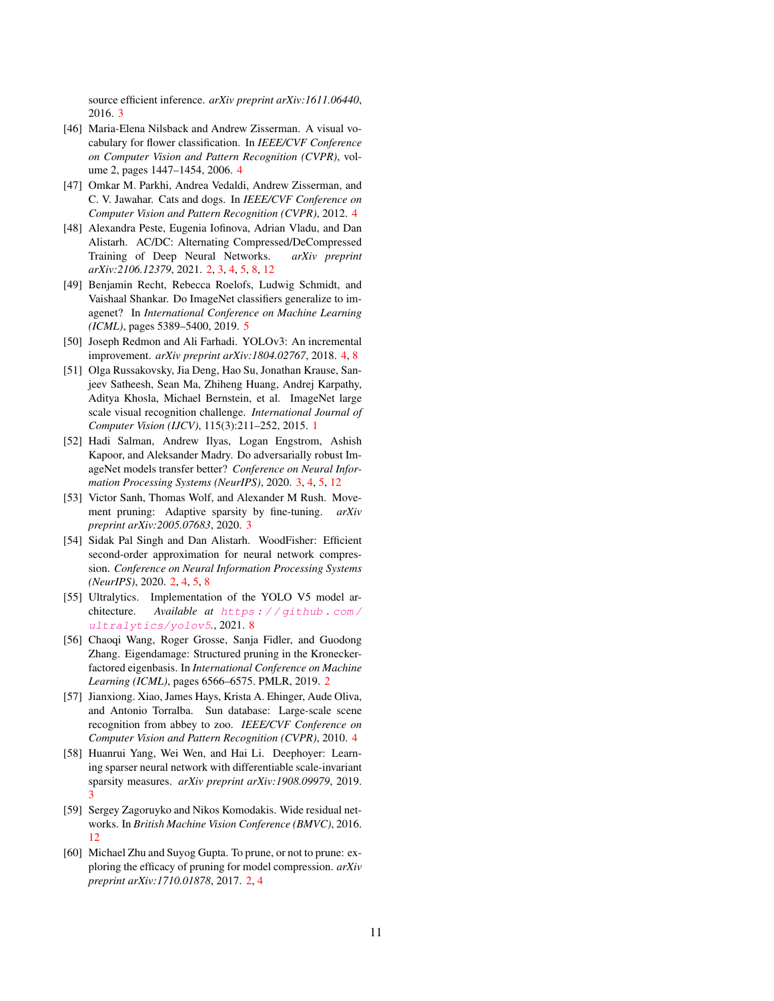source efficient inference. *arXiv preprint arXiv:1611.06440*, 2016. [3](#page-2-1)

- <span id="page-10-9"></span>[46] Maria-Elena Nilsback and Andrew Zisserman. A visual vocabulary for flower classification. In *IEEE/CVF Conference on Computer Vision and Pattern Recognition (CVPR)*, volume 2, pages 1447–1454, 2006. [4](#page-3-1)
- <span id="page-10-10"></span>[47] Omkar M. Parkhi, Andrea Vedaldi, Andrew Zisserman, and C. V. Jawahar. Cats and dogs. In *IEEE/CVF Conference on Computer Vision and Pattern Recognition (CVPR)*, 2012. [4](#page-3-1)
- <span id="page-10-3"></span>[48] Alexandra Peste, Eugenia Iofinova, Adrian Vladu, and Dan Alistarh. AC/DC: Alternating Compressed/DeCompressed Training of Deep Neural Networks. *arXiv preprint arXiv:2106.12379*, 2021. [2,](#page-1-2) [3,](#page-2-1) [4,](#page-3-1) [5,](#page-4-2) [8,](#page-7-4) [12](#page-11-2)
- <span id="page-10-12"></span>[49] Benjamin Recht, Rebecca Roelofs, Ludwig Schmidt, and Vaishaal Shankar. Do ImageNet classifiers generalize to imagenet? In *International Conference on Machine Learning (ICML)*, pages 5389–5400, 2019. [5](#page-4-2)
- <span id="page-10-11"></span>[50] Joseph Redmon and Ali Farhadi. YOLOv3: An incremental improvement. *arXiv preprint arXiv:1804.02767*, 2018. [4,](#page-3-1) [8](#page-7-4)
- <span id="page-10-0"></span>[51] Olga Russakovsky, Jia Deng, Hao Su, Jonathan Krause, Sanjeev Satheesh, Sean Ma, Zhiheng Huang, Andrej Karpathy, Aditya Khosla, Michael Bernstein, et al. ImageNet large scale visual recognition challenge. *International Journal of Computer Vision (IJCV)*, 115(3):211–252, 2015. [1](#page-0-0)
- <span id="page-10-6"></span>[52] Hadi Salman, Andrew Ilyas, Logan Engstrom, Ashish Kapoor, and Aleksander Madry. Do adversarially robust ImageNet models transfer better? *Conference on Neural Information Processing Systems (NeurIPS)*, 2020. [3,](#page-2-1) [4,](#page-3-1) [5,](#page-4-2) [12](#page-11-2)
- <span id="page-10-7"></span>[53] Victor Sanh, Thomas Wolf, and Alexander M Rush. Movement pruning: Adaptive sparsity by fine-tuning. *arXiv preprint arXiv:2005.07683*, 2020. [3](#page-2-1)
- <span id="page-10-2"></span>[54] Sidak Pal Singh and Dan Alistarh. WoodFisher: Efficient second-order approximation for neural network compression. *Conference on Neural Information Processing Systems (NeurIPS)*, 2020. [2,](#page-1-2) [4,](#page-3-1) [5,](#page-4-2) [8](#page-7-4)
- <span id="page-10-13"></span>[55] Ultralytics. Implementation of the YOLO V5 model architecture. *Available at* [https : / / github . com /](https://github.com/ultralytics/yolov5) [ultralytics/yolov5](https://github.com/ultralytics/yolov5)*.*, 2021. [8](#page-7-4)
- <span id="page-10-4"></span>[56] Chaoqi Wang, Roger Grosse, Sanja Fidler, and Guodong Zhang. Eigendamage: Structured pruning in the Kroneckerfactored eigenbasis. In *International Conference on Machine Learning (ICML)*, pages 6566–6575. PMLR, 2019. [2](#page-1-2)
- <span id="page-10-8"></span>[57] Jianxiong. Xiao, James Hays, Krista A. Ehinger, Aude Oliva, and Antonio Torralba. Sun database: Large-scale scene recognition from abbey to zoo. *IEEE/CVF Conference on Computer Vision and Pattern Recognition (CVPR)*, 2010. [4](#page-3-1)
- <span id="page-10-5"></span>[58] Huanrui Yang, Wei Wen, and Hai Li. Deephoyer: Learning sparser neural network with differentiable scale-invariant sparsity measures. *arXiv preprint arXiv:1908.09979*, 2019. [3](#page-2-1)
- <span id="page-10-14"></span>[59] Sergey Zagoruyko and Nikos Komodakis. Wide residual networks. In *British Machine Vision Conference (BMVC)*, 2016. [12](#page-11-2)
- <span id="page-10-1"></span>[60] Michael Zhu and Suyog Gupta. To prune, or not to prune: exploring the efficacy of pruning for model compression. *arXiv preprint arXiv:1710.01878*, 2017. [2,](#page-1-2) [4](#page-3-1)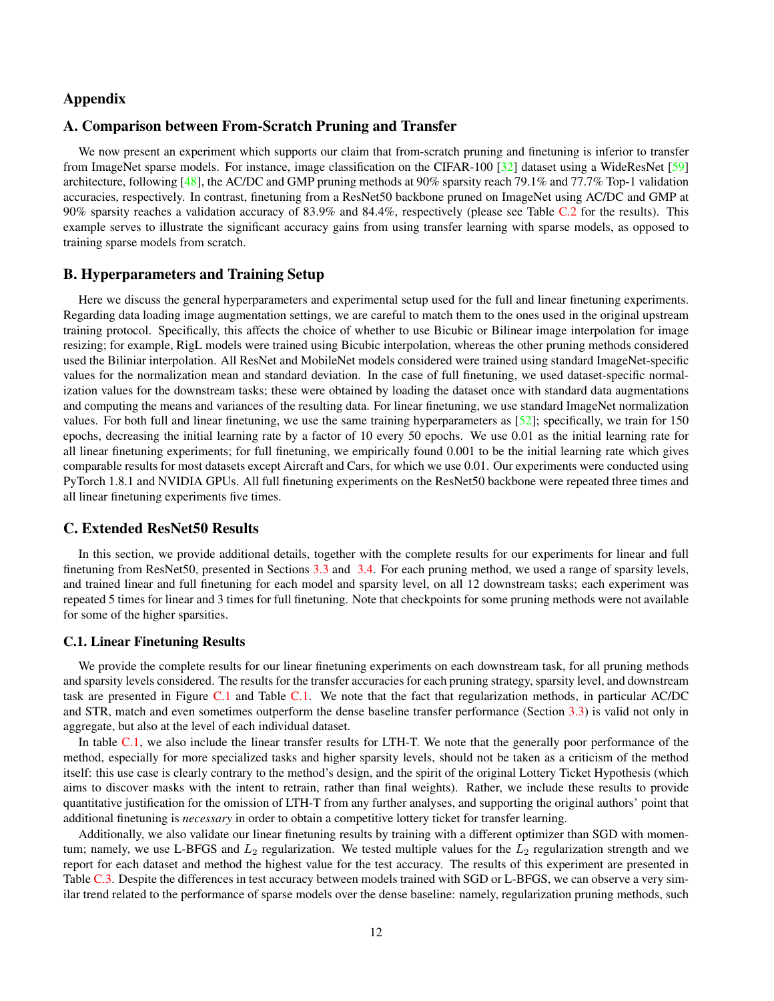## <span id="page-11-2"></span>Appendix

#### <span id="page-11-0"></span>A. Comparison between From-Scratch Pruning and Transfer

We now present an experiment which supports our claim that from-scratch pruning and finetuning is inferior to transfer from ImageNet sparse models. For instance, image classification on the CIFAR-100 [\[32\]](#page-9-26) dataset using a WideResNet [\[59\]](#page-10-14) architecture, following [\[48\]](#page-10-3), the AC/DC and GMP pruning methods at 90% sparsity reach 79.1% and 77.7% Top-1 validation accuracies, respectively. In contrast, finetuning from a ResNet50 backbone pruned on ImageNet using AC/DC and GMP at 90% sparsity reaches a validation accuracy of 83.9% and 84.4%, respectively (please see Table [C.2](#page-14-0) for the results). This example serves to illustrate the significant accuracy gains from using transfer learning with sparse models, as opposed to training sparse models from scratch.

## <span id="page-11-1"></span>B. Hyperparameters and Training Setup

Here we discuss the general hyperparameters and experimental setup used for the full and linear finetuning experiments. Regarding data loading image augmentation settings, we are careful to match them to the ones used in the original upstream training protocol. Specifically, this affects the choice of whether to use Bicubic or Bilinear image interpolation for image resizing; for example, RigL models were trained using Bicubic interpolation, whereas the other pruning methods considered used the Biliniar interpolation. All ResNet and MobileNet models considered were trained using standard ImageNet-specific values for the normalization mean and standard deviation. In the case of full finetuning, we used dataset-specific normalization values for the downstream tasks; these were obtained by loading the dataset once with standard data augmentations and computing the means and variances of the resulting data. For linear finetuning, we use standard ImageNet normalization values. For both full and linear finetuning, we use the same training hyperparameters as  $[52]$ ; specifically, we train for 150 epochs, decreasing the initial learning rate by a factor of 10 every 50 epochs. We use 0.01 as the initial learning rate for all linear finetuning experiments; for full finetuning, we empirically found 0.001 to be the initial learning rate which gives comparable results for most datasets except Aircraft and Cars, for which we use 0.01. Our experiments were conducted using PyTorch 1.8.1 and NVIDIA GPUs. All full finetuning experiments on the ResNet50 backbone were repeated three times and all linear finetuning experiments five times.

## C. Extended ResNet50 Results

In this section, we provide additional details, together with the complete results for our experiments for linear and full finetuning from ResNet50, presented in Sections [3.3](#page-4-1) and [3.4.](#page-5-1) For each pruning method, we used a range of sparsity levels, and trained linear and full finetuning for each model and sparsity level, on all 12 downstream tasks; each experiment was repeated 5 times for linear and 3 times for full finetuning. Note that checkpoints for some pruning methods were not available for some of the higher sparsities.

#### C.1. Linear Finetuning Results

We provide the complete results for our linear finetuning experiments on each downstream task, for all pruning methods and sparsity levels considered. The results for the transfer accuracies for each pruning strategy, sparsity level, and downstream task are presented in Figure [C.1](#page-12-1) and Table [C.1.](#page-13-0) We note that the fact that regularization methods, in particular AC/DC and STR, match and even sometimes outperform the dense baseline transfer performance (Section [3.3\)](#page-4-1) is valid not only in aggregate, but also at the level of each individual dataset.

In table [C.1,](#page-13-0) we also include the linear transfer results for LTH-T. We note that the generally poor performance of the method, especially for more specialized tasks and higher sparsity levels, should not be taken as a criticism of the method itself: this use case is clearly contrary to the method's design, and the spirit of the original Lottery Ticket Hypothesis (which aims to discover masks with the intent to retrain, rather than final weights). Rather, we include these results to provide quantitative justification for the omission of LTH-T from any further analyses, and supporting the original authors' point that additional finetuning is *necessary* in order to obtain a competitive lottery ticket for transfer learning.

Additionally, we also validate our linear finetuning results by training with a different optimizer than SGD with momentum; namely, we use L-BFGS and  $L_2$  regularization. We tested multiple values for the  $L_2$  regularization strength and we report for each dataset and method the highest value for the test accuracy. The results of this experiment are presented in Table [C.3.](#page-15-1) Despite the differences in test accuracy between models trained with SGD or L-BFGS, we can observe a very similar trend related to the performance of sparse models over the dense baseline: namely, regularization pruning methods, such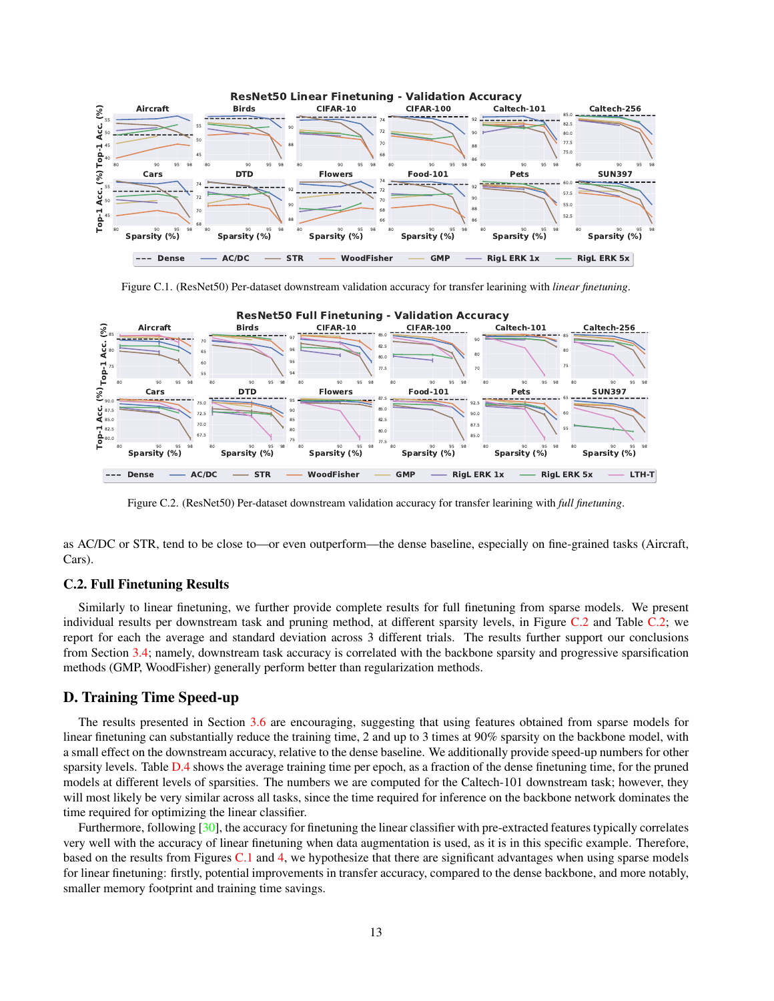<span id="page-12-1"></span><span id="page-12-0"></span>

Figure C.1. (ResNet50) Per-dataset downstream validation accuracy for transfer learining with *linear finetuning*.

<span id="page-12-2"></span>

Figure C.2. (ResNet50) Per-dataset downstream validation accuracy for transfer learining with *full finetuning*.

as AC/DC or STR, tend to be close to—or even outperform—the dense baseline, especially on fine-grained tasks (Aircraft, Cars).

## C.2. Full Finetuning Results

Similarly to linear finetuning, we further provide complete results for full finetuning from sparse models. We present individual results per downstream task and pruning method, at different sparsity levels, in Figure [C.2](#page-12-2) and Table [C.2;](#page-14-0) we report for each the average and standard deviation across 3 different trials. The results further support our conclusions from Section [3.4;](#page-5-1) namely, downstream task accuracy is correlated with the backbone sparsity and progressive sparsification methods (GMP, WoodFisher) generally perform better than regularization methods.

### D. Training Time Speed-up

The results presented in Section [3.6](#page-7-0) are encouraging, suggesting that using features obtained from sparse models for linear finetuning can substantially reduce the training time, 2 and up to 3 times at 90% sparsity on the backbone model, with a small effect on the downstream accuracy, relative to the dense baseline. We additionally provide speed-up numbers for other sparsity levels. Table [D.4](#page-15-0) shows the average training time per epoch, as a fraction of the dense finetuning time, for the pruned models at different levels of sparsities. The numbers we are computed for the Caltech-101 downstream task; however, they will most likely be very similar across all tasks, since the time required for inference on the backbone network dominates the time required for optimizing the linear classifier.

Furthermore, following [\[30\]](#page-9-5), the accuracy for finetuning the linear classifier with pre-extracted features typically correlates very well with the accuracy of linear finetuning when data augmentation is used, as it is in this specific example. Therefore, based on the results from Figures  $C<sub>1</sub>$  and [4,](#page-7-2) we hypothesize that there are significant advantages when using sparse models for linear finetuning: firstly, potential improvements in transfer accuracy, compared to the dense backbone, and more notably, smaller memory footprint and training time savings.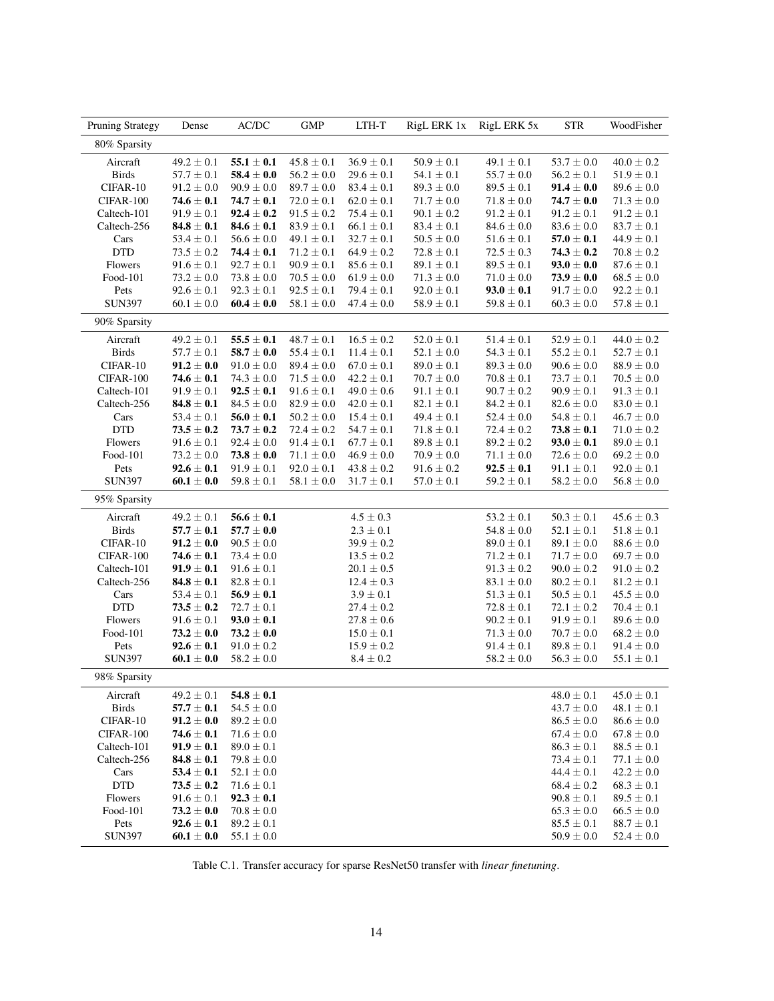<span id="page-13-0"></span>

| $\rm AC/DC$<br><b>GMP</b><br><b>STR</b><br><b>Pruning Strategy</b><br>Dense<br>LTH-T<br>RigL ERK 1x<br>RigL ERK 5x                                           | WoodFisher     |
|--------------------------------------------------------------------------------------------------------------------------------------------------------------|----------------|
| 80% Sparsity                                                                                                                                                 |                |
| Aircraft<br>$49.2 \pm 0.1$<br>$55.1 \pm 0.1$<br>$45.8 \pm 0.1$<br>$36.9 \pm 0.1$<br>$50.9 \pm 0.1$<br>$49.1 \pm 0.1$<br>$53.7 \pm 0.0$                       | $40.0 \pm 0.2$ |
| <b>Birds</b><br>$57.7 \pm 0.1$<br>$\textbf{58.4} \pm \textbf{0.0}$<br>$56.2 \pm 0.0$<br>$29.6 \pm 0.1$<br>$54.1 \pm 0.1$<br>$55.7 \pm 0.0$<br>$56.2 \pm 0.1$ | $51.9 \pm 0.1$ |
| CIFAR-10<br>$91.2 \pm 0.0$<br>$90.9 \pm 0.0$<br>$89.5\pm0.1$<br>$91.4 \pm 0.0$<br>$89.7 \pm 0.0$<br>$83.4 \pm 0.1$<br>$89.3 \pm 0.0$                         | $89.6 \pm 0.0$ |
| CIFAR-100<br>$74.6 \pm 0.1$<br>$74.7 \pm 0.1$<br>$72.0 \pm 0.1$<br>$62.0 \pm 0.1$<br>$71.7 \pm 0.0$<br>$71.8 \pm 0.0$<br>$74.7 \pm 0.0$                      | $71.3 \pm 0.0$ |
| Caltech-101<br>$91.9 \pm 0.1$<br>$92.4 \pm 0.2$<br>$91.5 \pm 0.2$<br>$75.4 \pm 0.1$<br>$90.1 \pm 0.2$<br>$91.2 \pm 0.1$<br>$91.2 \pm 0.1$                    | $91.2 \pm 0.1$ |
| Caltech-256<br>$84.8 \pm 0.1$<br>$84.6 \pm 0.1$<br>$83.9 \pm 0.1$<br>$66.1 \pm 0.1$<br>$83.4 \pm 0.1$<br>$84.6 \pm 0.0$<br>$83.6 \pm 0.0$                    | $83.7 \pm 0.1$ |
| Cars<br>$49.1 \pm 0.1$<br>$32.7 \pm 0.1$<br>$50.5 \pm 0.0$<br>$51.6 \pm 0.1$<br>$57.0 \pm 0.1$<br>$53.4 \pm 0.1$<br>$56.6 \pm 0.0$                           | $44.9 \pm 0.1$ |
| <b>DTD</b><br>$73.5 \pm 0.2$<br>$\textbf{74.4} \pm \textbf{0.1}$<br>$71.2 \pm 0.1$<br>$64.9 \pm 0.2$<br>$72.8 \pm 0.1$<br>$72.5 \pm 0.3$<br>$74.3 \pm 0.2$   | $70.8\pm0.2$   |
| Flowers<br>$91.6 \pm 0.1$<br>$92.7 \pm 0.1$<br>$90.9 \pm 0.1$<br>$85.6 \pm 0.1$<br>$89.1 \pm 0.1$<br>$89.5 \pm 0.1$<br>$93.0 \pm 0.0$                        | $87.6 \pm 0.1$ |
| Food-101<br>$73.2 \pm 0.0$<br>$73.8\pm0.0$<br>$70.5 \pm 0.0$<br>$61.9 \pm 0.0$<br>$71.3 \pm 0.0$<br>$71.0 \pm 0.0$<br>$73.9 \pm 0.0$                         | $68.5 \pm 0.0$ |
| Pets<br>$92.6 \pm 0.1$<br>$92.3 \pm 0.1$<br>$92.5 \pm 0.1$<br>$79.4 \pm 0.1$<br>$92.0 \pm 0.1$<br>$93.0 \pm 0.1$<br>$91.7 \pm 0.0$                           | $92.2 \pm 0.1$ |
| <b>SUN397</b><br>$\textbf{60.4} \pm \textbf{0.0}$<br>$58.1 \pm 0.0$<br>$47.4\pm0.0$<br>$58.9 \pm 0.1$<br>$59.8 \pm 0.1$<br>$60.3 \pm 0.0$<br>$60.1 \pm 0.0$  | $57.8 \pm 0.1$ |
| 90% Sparsity                                                                                                                                                 |                |
| $16.5 \pm 0.2$<br>$52.0\pm0.1$<br>$49.2 \pm 0.1$<br>$55.5 \pm 0.1$<br>$48.7 \pm 0.1$<br>$51.4 \pm 0.1$<br>$52.9 \pm 0.1$<br>Aircraft                         | $44.0 \pm 0.2$ |
| <b>Birds</b><br>$57.7\pm0.1$<br>$\textbf{58.7} \pm \textbf{0.0}$<br>$55.4 \pm 0.1$<br>$11.4 \pm 0.1$<br>$52.1\pm0.0$<br>$54.3 \pm 0.1$<br>$55.2 \pm 0.1$     | $52.7 \pm 0.1$ |
| CIFAR-10<br>$91.2 \pm 0.0$<br>$89.4 \pm 0.0$<br>$67.0 \pm 0.1$<br>$89.0 \pm 0.1$<br>$89.3 \pm 0.0$<br>$90.6 \pm 0.0$<br>$91.0 \pm 0.0$                       | $88.9 \pm 0.0$ |
| CIFAR-100<br>$74.6 \pm 0.1$<br>$74.3 \pm 0.0$<br>$71.5 \pm 0.0$<br>$42.2 \pm 0.1$<br>$70.7 \pm 0.0$<br>$70.8 \pm 0.1$<br>$73.7 \pm 0.1$                      | $70.5 \pm 0.0$ |
| $91.9 \pm 0.1$<br>$92.5 \pm 0.1$<br>$91.6 \pm 0.1$<br>$49.0 \pm 0.6$<br>$91.1\pm0.1$<br>$90.7 \pm 0.2$<br>$90.9 \pm 0.1$<br>Caltech-101                      | $91.3 \pm 0.1$ |
| $84.8 \pm 0.1$<br>$84.5 \pm 0.0$<br>$82.9 \pm 0.0$<br>$84.2 \pm 0.1$<br>$82.6 \pm 0.0$<br>Caltech-256<br>$42.0 \pm 0.1$<br>$82.1 \pm 0.1$                    | $83.0 \pm 0.1$ |
| Cars<br>$53.4 \pm 0.1$<br>$56.0 \pm 0.1$<br>$50.2 \pm 0.0$<br>$15.4 \pm 0.1$<br>$49.4 \pm 0.1$<br>$52.4 \pm 0.0$<br>$54.8 \pm 0.1$                           | $46.7 \pm 0.0$ |
| <b>DTD</b><br>$73.5 \pm 0.2$<br>$73.7 \pm 0.2$<br>$72.4 \pm 0.2$<br>$54.7 \pm 0.1$<br>$71.8\pm0.1$<br>$72.4\pm0.2$<br>$73.8 \pm 0.1$                         | $71.0\pm0.2$   |
| Flowers<br>$91.6 \pm 0.1$<br>$92.4 \pm 0.0$<br>$91.4 \pm 0.1$<br>$67.7 \pm 0.1$<br>$89.8 \pm 0.1$<br>$89.2 \pm 0.2$<br>$93.0 \pm 0.1$                        | $89.0 \pm 0.1$ |
| Food-101<br>$73.2 \pm 0.0$<br>$73.8 \pm 0.0$<br>$71.1 \pm 0.0$<br>$46.9 \pm 0.0$<br>$70.9 \pm 0.0$<br>$71.1 \pm 0.0$<br>$72.6 \pm 0.0$                       | $69.2 \pm 0.0$ |
| Pets<br>$92.6 \pm 0.1$<br>$91.9 \pm 0.1$<br>$92.0 \pm 0.1$<br>$43.8 \pm 0.2$<br>$91.6 \pm 0.2$<br>$92.5 \pm 0.1$<br>$91.1 \pm 0.1$                           | $92.0 \pm 0.1$ |
| <b>SUN397</b><br>$60.1 \pm 0.0$<br>$59.8 \pm 0.1$<br>$58.1 \pm 0.0$<br>$31.7 \pm 0.1$<br>$57.0 \pm 0.1$<br>$59.2 \pm 0.1$<br>$58.2 \pm 0.0$                  | $56.8 \pm 0.0$ |
| 95% Sparsity                                                                                                                                                 |                |
| $49.2 \pm 0.1$<br>$\textbf{56.6} \pm \textbf{0.1}$<br>Aircraft<br>$4.5 \pm 0.3$<br>$53.2 \pm 0.1$<br>$50.3 \pm 0.1$                                          | $45.6\pm0.3$   |
| $\ensuremath{\mathsf{Birds}}$<br>$57.7\pm0.1$<br>$54.8\pm0.0$<br>$57.7 \pm 0.0$<br>$2.3 \pm 0.1$<br>$52.1 \pm 0.1$                                           | $51.8 \pm 0.1$ |
| CIFAR-10<br>$91.2 \pm 0.0$<br>$90.5 \pm 0.0$<br>$39.9\pm0.2$<br>$89.0 \pm 0.1$<br>$89.1 \pm 0.0$                                                             | $88.6 \pm 0.0$ |
| CIFAR-100<br>$74.6 \pm 0.1$<br>$73.4 \pm 0.0$<br>$71.7 \pm 0.0$<br>$13.5 \pm 0.2$<br>$71.2 \pm 0.1$                                                          | $69.7 \pm 0.0$ |
| $91.9 \pm 0.1$<br>$91.6\pm0.1$<br>$91.3 \pm 0.2$<br>$90.0 \pm 0.2$<br>Caltech-101<br>$20.1 \pm 0.5$                                                          | $91.0 \pm 0.2$ |
| Caltech-256<br>$84.8 \pm 0.1$<br>$82.8 \pm 0.1$<br>$12.4 \pm 0.3$<br>$83.1 \pm 0.0$<br>$80.2 \pm 0.1$                                                        | $81.2 \pm 0.1$ |
| $53.4 \pm 0.1$<br>$56.9 \pm 0.1$<br>$3.9 \pm 0.1$<br>$51.3 \pm 0.1$<br>$50.5 \pm 0.1$<br>Cars                                                                | $45.5 \pm 0.0$ |
| <b>DTD</b><br>$73.5 \pm 0.2$<br>$72.7\pm0.1$<br>$27.4 \pm 0.2$<br>$72.8 \pm 0.1$<br>$72.1\pm0.2$                                                             | $70.4 \pm 0.1$ |
| $91.6 \pm 0.1$<br>$91.9 \pm 0.1$<br>Flowers<br>$93.0 \pm 0.1$<br>$27.8 \pm 0.6$<br>$90.2 \pm 0.1$                                                            | $89.6 \pm 0.0$ |
| Food-101<br>$73.2 \pm 0.0$<br>$73.2 \pm 0.0$<br>$71.3 \pm 0.0$<br>$70.7 \pm 0.0$<br>$15.0 \pm 0.1$                                                           | $68.2 \pm 0.0$ |
| Pets<br>$92.6 \pm 0.1$<br>$15.9 \pm 0.2$<br>$89.8 \pm 0.1$<br>$91.0 \pm 0.2$<br>$91.4 \pm 0.1$                                                               | $91.4 \pm 0.0$ |
| <b>SUN397</b><br>$58.2 \pm 0.0$<br>$56.3 \pm 0.0$<br>$60.1 \pm 0.0$<br>$8.4 \pm 0.2$<br>$58.2 \pm 0.0$                                                       | $55.1 \pm 0.1$ |
| 98% Sparsity                                                                                                                                                 |                |
| $54.8 \pm 0.1$<br>Aircraft<br>$49.2 \pm 0.1$<br>$48.0 \pm 0.1$                                                                                               | $45.0 \pm 0.1$ |
| <b>Birds</b><br>$57.7 \pm 0.1$<br>$54.5\pm0.0$<br>$43.7 \pm 0.0$                                                                                             | $48.1\pm0.1$   |
| CIFAR-10<br>$91.2 \pm 0.0$<br>$86.5 \pm 0.0$<br>$89.2 \pm 0.0$                                                                                               | $86.6 \pm 0.0$ |
| CIFAR-100<br>$74.6 \pm 0.1$<br>$67.4 \pm 0.0$<br>$71.6 \pm 0.0$                                                                                              | $67.8 \pm 0.0$ |
| Caltech-101<br>$91.9 \pm 0.1$<br>$86.3 \pm 0.1$<br>$89.0 \pm 0.1$                                                                                            | $88.5 \pm 0.1$ |
| Caltech-256<br>$84.8 \pm 0.1$<br>$79.8 \pm 0.0$<br>$73.4 \pm 0.1$                                                                                            | $77.1 \pm 0.0$ |
| $53.4 \pm 0.1$<br>Cars<br>$52.1 \pm 0.0$<br>$44.4 \pm 0.1$                                                                                                   | $42.2 \pm 0.0$ |
| <b>DTD</b><br>$73.5 \pm 0.2$<br>$71.6 \pm 0.1$<br>$68.4 \pm 0.2$                                                                                             | $68.3 \pm 0.1$ |
| Flowers<br>$91.6 \pm 0.1$<br>$92.3 \pm 0.1$<br>$90.8 \pm 0.1$                                                                                                | $89.5 \pm 0.1$ |
| Food-101<br>$73.2 \pm 0.0$<br>$70.8 \pm 0.0$<br>$65.3 \pm 0.0$                                                                                               | $66.5 \pm 0.0$ |
| Pets<br>$92.6 \pm 0.1$<br>$89.2 \pm 0.1$<br>$85.5 \pm 0.1$                                                                                                   | $88.7 \pm 0.1$ |
|                                                                                                                                                              |                |

Table C.1. Transfer accuracy for sparse ResNet50 transfer with *linear finetuning*.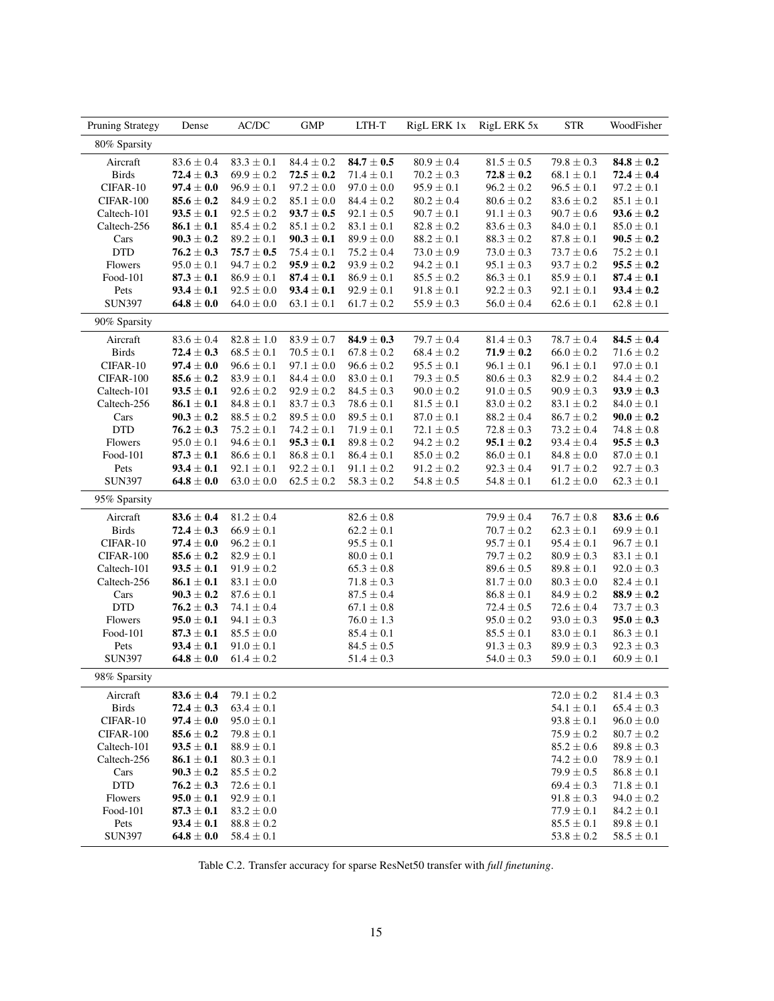<span id="page-14-0"></span>

| Pruning Strategy | Dense                            | AC/DC          | <b>GMP</b>     | LTH-T          | RigL ERK 1x    | RigL ERK 5x    | <b>STR</b>     | WoodFisher                       |
|------------------|----------------------------------|----------------|----------------|----------------|----------------|----------------|----------------|----------------------------------|
| 80% Sparsity     |                                  |                |                |                |                |                |                |                                  |
| Aircraft         | $83.6\pm0.4$                     | $83.3 \pm 0.1$ | $84.4 \pm 0.2$ | $84.7\pm0.5$   | $80.9 \pm 0.4$ | $81.5 \pm 0.5$ | $79.8 \pm 0.3$ | $84.8 \pm 0.2$                   |
| <b>Birds</b>     | $72.4 \pm 0.3$                   | $69.9 \pm 0.2$ | $72.5 \pm 0.2$ | $71.4 \pm 0.1$ | $70.2 \pm 0.3$ | $72.8 \pm 0.2$ | $68.1 \pm 0.1$ | $72.4 \pm 0.4$                   |
| CIFAR-10         | $97.4 \pm 0.0$                   | $96.9 \pm 0.1$ | $97.2 \pm 0.0$ | $97.0 \pm 0.0$ | $95.9 \pm 0.1$ | $96.2 \pm 0.2$ | $96.5 \pm 0.1$ | $97.2\pm0.1$                     |
| CIFAR-100        | $85.6 \pm 0.2$                   | $84.9 \pm 0.2$ | $85.1 \pm 0.0$ | $84.4 \pm 0.2$ | $80.2 \pm 0.4$ | $80.6 \pm 0.2$ | $83.6 \pm 0.2$ | $85.1 \pm 0.1$                   |
| Caltech-101      | $93.5 \pm 0.1$                   | $92.5 \pm 0.2$ | $93.7 \pm 0.5$ | $92.1 \pm 0.5$ | $90.7 \pm 0.1$ | $91.1 \pm 0.3$ | $90.7 \pm 0.6$ | $93.6 \pm 0.2$                   |
| Caltech-256      | $86.1 \pm 0.1$                   | $85.4 \pm 0.2$ | $85.1 \pm 0.2$ | $83.1 \pm 0.1$ | $82.8 \pm 0.2$ | $83.6 \pm 0.3$ | $84.0 \pm 0.1$ | $85.0 \pm 0.1$                   |
| Cars             | $90.3 \pm 0.2$                   | $89.2 \pm 0.1$ | $90.3 \pm 0.1$ | $89.9 \pm 0.0$ | $88.2 \pm 0.1$ | $88.3 \pm 0.2$ | $87.8 \pm 0.1$ | $90.5 \pm 0.2$                   |
| <b>DTD</b>       | $76.2 \pm 0.3$                   | $75.7 \pm 0.5$ | $75.4 \pm 0.1$ | $75.2 \pm 0.4$ | $73.0 \pm 0.9$ | $73.0 \pm 0.3$ | $73.7 \pm 0.6$ | $75.2 \pm 0.1$                   |
| Flowers          | $95.0 \pm 0.1$                   | $94.7 \pm 0.2$ | $95.9 \pm 0.2$ | $93.9 \pm 0.2$ | $94.2 \pm 0.1$ | $95.1 \pm 0.3$ | $93.7 \pm 0.2$ | $95.5 \pm 0.2$                   |
| Food-101         | $87.3 \pm 0.1$                   | $86.9 \pm 0.1$ | $87.4 \pm 0.1$ | $86.9 \pm 0.1$ | $85.5 \pm 0.2$ | $86.3 \pm 0.1$ | $85.9 \pm 0.1$ | $87.4 \pm 0.1$                   |
| Pets             | $93.4 \pm 0.1$                   | $92.5 \pm 0.0$ | $93.4 \pm 0.1$ | $92.9 \pm 0.1$ | $91.8 \pm 0.1$ | $92.2 \pm 0.3$ | $92.1 \pm 0.1$ | $93.4 \pm 0.2$                   |
| <b>SUN397</b>    | $64.8 \pm 0.0$                   | $64.0 \pm 0.0$ | $63.1 \pm 0.1$ | $61.7 \pm 0.2$ | $55.9 \pm 0.3$ | $56.0 \pm 0.4$ | $62.6 \pm 0.1$ | $62.8 \pm 0.1$                   |
| 90% Sparsity     |                                  |                |                |                |                |                |                |                                  |
| Aircraft         | $83.6 \pm 0.4$                   | $82.8\pm1.0$   | $83.9 \pm 0.7$ | $84.9 \pm 0.3$ | $79.7 \pm 0.4$ | $81.4 \pm 0.3$ | $78.7 \pm 0.4$ | $84.5 \pm 0.4$                   |
| <b>Birds</b>     | $72.4 \pm 0.3$                   | $68.5 \pm 0.1$ | $70.5 \pm 0.1$ | $67.8 \pm 0.2$ | $68.4 \pm 0.2$ | $71.9 \pm 0.2$ | $66.0 \pm 0.2$ | $71.6 \pm 0.2$                   |
| CIFAR-10         | $\textbf{97.4} \pm \textbf{0.0}$ | $96.6 \pm 0.1$ | $97.1 \pm 0.0$ | $96.6 \pm 0.2$ | $95.5 \pm 0.1$ | $96.1 \pm 0.1$ | $96.1 \pm 0.1$ | $97.0 \pm 0.1$                   |
| CIFAR-100        | $85.6 \pm 0.2$                   | $83.9 \pm 0.1$ | $84.4 \pm 0.0$ | $83.0 \pm 0.1$ | $79.3 \pm 0.5$ | $80.6 \pm 0.3$ | $82.9 \pm 0.2$ | $84.4 \pm 0.2$                   |
| Caltech-101      | $93.5 \pm 0.1$                   | $92.6 \pm 0.2$ | $92.9 \pm 0.2$ | $84.5 \pm 0.3$ | $90.0 \pm 0.2$ | $91.0 \pm 0.5$ | $90.9 \pm 0.3$ | $93.9 \pm 0.3$                   |
| Caltech-256      | $86.1 \pm 0.1$                   | $84.8 \pm 0.1$ | $83.7\pm0.3$   | $78.6 \pm 0.1$ | $81.5 \pm 0.1$ | $83.0 \pm 0.2$ | $83.1 \pm 0.2$ | $84.0 \pm 0.1$                   |
| Cars             | $90.3 \pm 0.2$                   | $88.5 \pm 0.2$ | $89.5 \pm 0.0$ | $89.5 \pm 0.1$ | $87.0 \pm 0.1$ | $88.2 \pm 0.4$ | $86.7 \pm 0.2$ | $90.0 \pm 0.2$                   |
| <b>DTD</b>       | $76.2 \pm 0.3$                   | $75.2 \pm 0.1$ | $74.2 \pm 0.1$ | $71.9 \pm 0.1$ | $72.1 \pm 0.5$ | $72.8\pm0.3$   | $73.2 \pm 0.4$ | $74.8 \pm 0.8$                   |
| Flowers          | $95.0 \pm 0.1$                   | $94.6 \pm 0.1$ | $95.3 \pm 0.1$ | $89.8 \pm 0.2$ | $94.2 \pm 0.2$ | $95.1 \pm 0.2$ | $93.4 \pm 0.4$ | $95.5 \pm 0.3$                   |
| Food-101         | $87.3 \pm 0.1$                   | $86.6 \pm 0.1$ | $86.8 \pm 0.1$ | $86.4 \pm 0.1$ | $85.0 \pm 0.2$ | $86.0 \pm 0.1$ | $84.8\pm0.0$   | $87.0\pm0.1$                     |
| Pets             | $93.4 \pm 0.1$                   | $92.1 \pm 0.1$ | $92.2 \pm 0.1$ | $91.1 \pm 0.2$ | $91.2 \pm 0.2$ | $92.3 \pm 0.4$ | $91.7 \pm 0.2$ | $92.7 \pm 0.3$                   |
| <b>SUN397</b>    | $64.8 \pm 0.0$                   | $63.0 \pm 0.0$ | $62.5 \pm 0.2$ | $58.3 \pm 0.2$ | $54.8 \pm 0.5$ | $54.8 \pm 0.1$ | $61.2 \pm 0.0$ | $62.3 \pm 0.1$                   |
| 95% Sparsity     |                                  |                |                |                |                |                |                |                                  |
| Aircraft         | $83.6 \pm 0.4$                   | $81.2\pm0.4$   |                | $82.6\pm0.8$   |                | $79.9\pm0.4$   | $76.7 \pm 0.8$ | $\textbf{83.6} \pm \textbf{0.6}$ |
| <b>Birds</b>     | $72.4 \pm 0.3$                   | $66.9\pm0.1$   |                | $62.2 \pm 0.1$ |                | $70.7 \pm 0.2$ | $62.3 \pm 0.1$ | $69.9 \pm 0.1$                   |
| CIFAR-10         | $97.4 \pm 0.0$                   | $96.2 \pm 0.1$ |                | $95.5 \pm 0.1$ |                | $95.7 \pm 0.1$ | $95.4 \pm 0.1$ | $96.7 \pm 0.1$                   |
| CIFAR-100        | $85.6 \pm 0.2$                   | $82.9 \pm 0.1$ |                | $80.0 \pm 0.1$ |                | $79.7 \pm 0.2$ | $80.9 \pm 0.3$ | $83.1 \pm 0.1$                   |
| Caltech-101      | $93.5 \pm 0.1$                   | $91.9 \pm 0.2$ |                | $65.3 \pm 0.8$ |                | $89.6 \pm 0.5$ | $89.8 \pm 0.1$ | $92.0 \pm 0.3$                   |
| Caltech-256      | $86.1 \pm 0.1$                   | $83.1 \pm 0.0$ |                | $71.8 \pm 0.3$ |                | $81.7 \pm 0.0$ | $80.3 \pm 0.0$ | $82.4 \pm 0.1$                   |
| Cars             | $90.3 \pm 0.2$                   | $87.6 \pm 0.1$ |                | $87.5 \pm 0.4$ |                | $86.8 \pm 0.1$ | $84.9 \pm 0.2$ | $88.9 \pm 0.2$                   |
| <b>DTD</b>       | $76.2 \pm 0.3$                   | $74.1\pm0.4$   |                | $67.1 \pm 0.8$ |                | $72.4 \pm 0.5$ | $72.6 \pm 0.4$ | $73.7 \pm 0.3$                   |
| Flowers          | $95.0 \pm 0.1$                   | $94.1 \pm 0.3$ |                | $76.0 \pm 1.3$ |                | $95.0 \pm 0.2$ | $93.0 \pm 0.3$ | $95.0 \pm 0.3$                   |
| Food-101         | $87.3 \pm 0.1$                   | $85.5 \pm 0.0$ |                | $85.4 \pm 0.1$ |                | $85.5 \pm 0.1$ | $83.0 \pm 0.1$ | $86.3 \pm 0.1$                   |
| Pets             | $93.4 \pm 0.1$                   | $91.0 \pm 0.1$ |                | $84.5 \pm 0.5$ |                | $91.3 \pm 0.3$ | $89.9\pm0.3$   | $92.3 \pm 0.3$                   |
| <b>SUN397</b>    | $64.8 \pm 0.0$                   | $61.4 \pm 0.2$ |                | $51.4 \pm 0.3$ |                | $54.0 \pm 0.3$ | $59.0 \pm 0.1$ | $60.9\pm0.1$                     |
| 98% Sparsity     |                                  |                |                |                |                |                |                |                                  |
| Aircraft         | $83.6 \pm 0.4$                   | $79.1 \pm 0.2$ |                |                |                |                | $72.0 \pm 0.2$ | $81.4 \pm 0.3$                   |
| <b>Birds</b>     | $72.4 \pm 0.3$                   | $63.4 \pm 0.1$ |                |                |                |                | $54.1 \pm 0.1$ | $65.4 \pm 0.3$                   |
| CIFAR-10         | $97.4 \pm 0.0$                   | $95.0 \pm 0.1$ |                |                |                |                | $93.8 \pm 0.1$ | $96.0 \pm 0.0$                   |
| CIFAR-100        | $85.6 \pm 0.2$                   | $79.8\pm0.1$   |                |                |                |                | $75.9 \pm 0.2$ | $80.7 \pm 0.2$                   |
| Caltech-101      | $93.5 \pm 0.1$                   | $88.9 \pm 0.1$ |                |                |                |                | $85.2 \pm 0.6$ | $89.8\pm0.3$                     |
| Caltech-256      | $86.1 \pm 0.1$                   | $80.3 \pm 0.1$ |                |                |                |                | $74.2 \pm 0.0$ | $78.9 \pm 0.1$                   |
| Cars             | $90.3 \pm 0.2$                   | $85.5 \pm 0.2$ |                |                |                |                | $79.9 \pm 0.5$ | $86.8 \pm 0.1$                   |
| <b>DTD</b>       | $76.2 \pm 0.3$                   | $72.6 \pm 0.1$ |                |                |                |                | $69.4 \pm 0.3$ | $71.8 \pm 0.1$                   |
| Flowers          | $95.0 \pm 0.1$                   | $92.9 \pm 0.1$ |                |                |                |                | $91.8 \pm 0.3$ | $94.0 \pm 0.2$                   |
| Food-101         | $87.3 \pm 0.1$                   | $83.2 \pm 0.0$ |                |                |                |                | $77.9 \pm 0.1$ | $84.2 \pm 0.1$                   |
| Pets             | $93.4 \pm 0.1$                   | $88.8 \pm 0.2$ |                |                |                |                | $85.5 \pm 0.1$ | $89.8 \pm 0.1$                   |
| <b>SUN397</b>    | $64.8 \pm 0.0$                   | $58.4 \pm 0.1$ |                |                |                |                | $53.8 \pm 0.2$ | $58.5 \pm 0.1$                   |

Table C.2. Transfer accuracy for sparse ResNet50 transfer with *full finetuning*.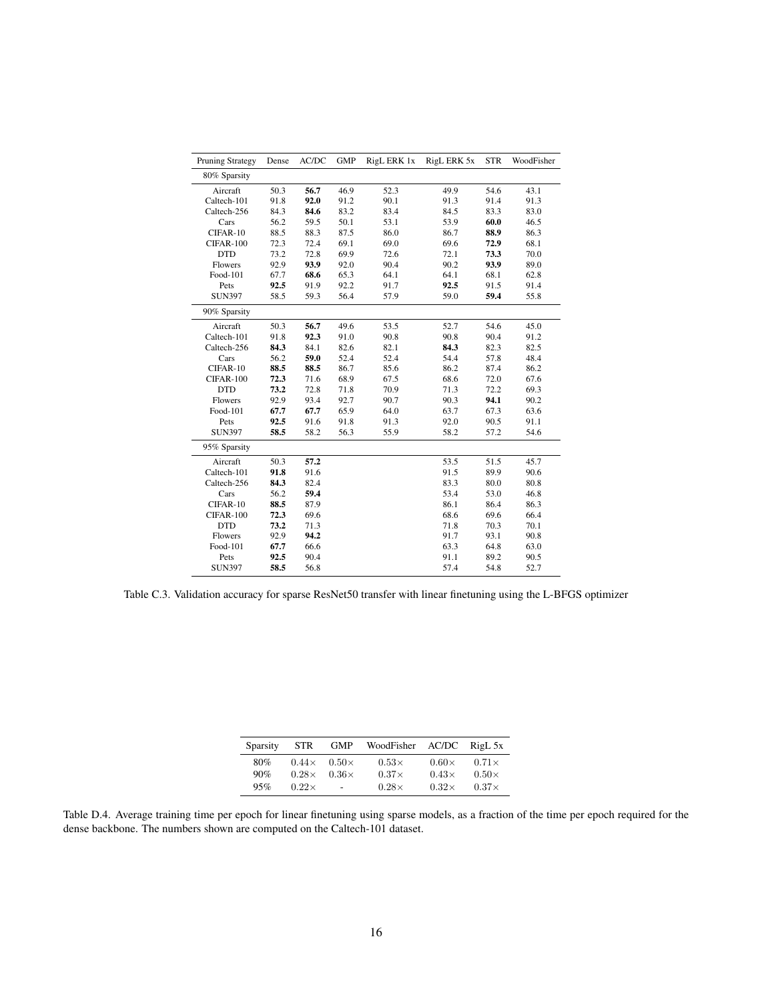<span id="page-15-1"></span>

| Pruning Strategy | Dense | AC/DC | <b>GMP</b> | RigL ERK 1x | RigL ERK 5x | <b>STR</b> | WoodFisher |
|------------------|-------|-------|------------|-------------|-------------|------------|------------|
| 80% Sparsity     |       |       |            |             |             |            |            |
| Aircraft         | 50.3  | 56.7  | 46.9       | 52.3        | 49.9        | 54.6       | 43.1       |
| Caltech-101      | 91.8  | 92.0  | 91.2       | 90.1        | 91.3        | 91.4       | 91.3       |
| Caltech-256      | 84.3  | 84.6  | 83.2       | 83.4        | 84.5        | 83.3       | 83.0       |
| Cars             | 56.2  | 59.5  | 50.1       | 53.1        | 53.9        | 60.0       | 46.5       |
| CIFAR-10         | 88.5  | 88.3  | 87.5       | 86.0        | 86.7        | 88.9       | 86.3       |
| CIFAR-100        | 72.3  | 72.4  | 69.1       | 69.0        | 69.6        | 72.9       | 68.1       |
| <b>DTD</b>       | 73.2  | 72.8  | 69.9       | 72.6        | 72.1        | 73.3       | 70.0       |
| Flowers          | 92.9  | 93.9  | 92.0       | 90.4        | 90.2        | 93.9       | 89.0       |
| Food-101         | 67.7  | 68.6  | 65.3       | 64.1        | 64.1        | 68.1       | 62.8       |
| Pets             | 92.5  | 91.9  | 92.2       | 91.7        | 92.5        | 91.5       | 91.4       |
| <b>SUN397</b>    | 58.5  | 59.3  | 56.4       | 57.9        | 59.0        | 59.4       | 55.8       |
| 90% Sparsity     |       |       |            |             |             |            |            |
| Aircraft         | 50.3  | 56.7  | 49.6       | 53.5        | 52.7        | 54.6       | 45.0       |
| Caltech-101      | 91.8  | 92.3  | 91.0       | 90.8        | 90.8        | 90.4       | 91.2       |
| Caltech-256      | 84.3  | 84.1  | 82.6       | 82.1        | 84.3        | 82.3       | 82.5       |
| Cars             | 56.2  | 59.0  | 52.4       | 52.4        | 54.4        | 57.8       | 48.4       |
| CIFAR-10         | 88.5  | 88.5  | 86.7       | 85.6        | 86.2        | 87.4       | 86.2       |
| CIFAR-100        | 72.3  | 71.6  | 68.9       | 67.5        | 68.6        | 72.0       | 67.6       |
| <b>DTD</b>       | 73.2  | 72.8  | 71.8       | 70.9        | 71.3        | 72.2       | 69.3       |
| Flowers          | 92.9  | 93.4  | 92.7       | 90.7        | 90.3        | 94.1       | 90.2       |
| Food-101         | 67.7  | 67.7  | 65.9       | 64.0        | 63.7        | 67.3       | 63.6       |
| Pets             | 92.5  | 91.6  | 91.8       | 91.3        | 92.0        | 90.5       | 91.1       |
| <b>SUN397</b>    | 58.5  | 58.2  | 56.3       | 55.9        | 58.2        | 57.2       | 54.6       |
| 95% Sparsity     |       |       |            |             |             |            |            |
| Aircraft         | 50.3  | 57.2  |            |             | 53.5        | 51.5       | 45.7       |
| Caltech-101      | 91.8  | 91.6  |            |             | 91.5        | 89.9       | 90.6       |
| Caltech-256      | 84.3  | 82.4  |            |             | 83.3        | 80.0       | 80.8       |
| Cars             | 56.2  | 59.4  |            |             | 53.4        | 53.0       | 46.8       |
| CIFAR-10         | 88.5  | 87.9  |            |             | 86.1        | 86.4       | 86.3       |
| CIFAR-100        | 72.3  | 69.6  |            |             | 68.6        | 69.6       | 66.4       |
| <b>DTD</b>       | 73.2  | 71.3  |            |             | 71.8        | 70.3       | 70.1       |
| Flowers          | 92.9  | 94.2  |            |             | 91.7        | 93.1       | 90.8       |
| Food-101         | 67.7  | 66.6  |            |             | 63.3        | 64.8       | 63.0       |
| Pets             | 92.5  | 90.4  |            |             | 91.1        | 89.2       | 90.5       |
| <b>SUN397</b>    | 58.5  | 56.8  |            |             | 57.4        | 54.8       | 52.7       |

Table C.3. Validation accuracy for sparse ResNet50 transfer with linear finetuning using the L-BFGS optimizer

| <b>Sparsity</b> | <b>STR</b>   | <b>GMP</b>   | WoodFisher   |              | $AC/DC$ RigL 5x |
|-----------------|--------------|--------------|--------------|--------------|-----------------|
| 80%             | $0.44\times$ | $0.50\times$ | $0.53\times$ | $0.60\times$ | $0.71\times$    |
| 90%             | $0.28\times$ | $0.36\times$ | $0.37\times$ | $0.43\times$ | $0.50\times$    |
| 95%             | $0.22\times$ | $\sim$       | $0.28\times$ | $0.32\times$ | $0.37\times$    |

<span id="page-15-0"></span>Table D.4. Average training time per epoch for linear finetuning using sparse models, as a fraction of the time per epoch required for the dense backbone. The numbers shown are computed on the Caltech-101 dataset.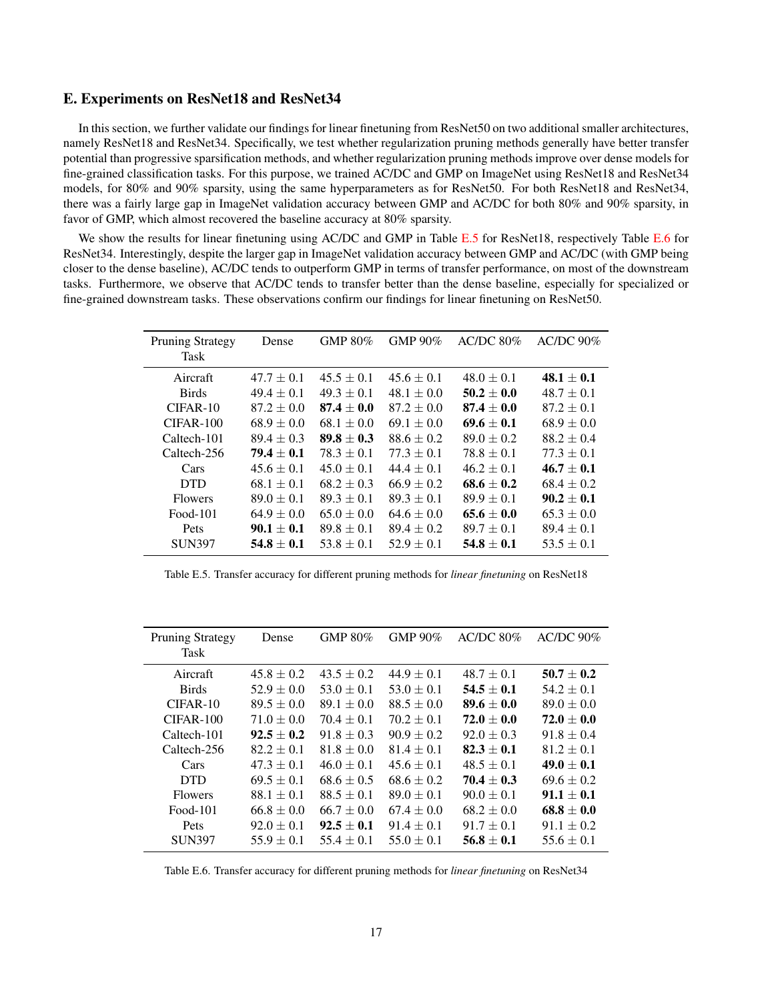### E. Experiments on ResNet18 and ResNet34

In this section, we further validate our findings for linear finetuning from ResNet50 on two additional smaller architectures, namely ResNet18 and ResNet34. Specifically, we test whether regularization pruning methods generally have better transfer potential than progressive sparsification methods, and whether regularization pruning methods improve over dense models for fine-grained classification tasks. For this purpose, we trained AC/DC and GMP on ImageNet using ResNet18 and ResNet34 models, for 80% and 90% sparsity, using the same hyperparameters as for ResNet50. For both ResNet18 and ResNet34, there was a fairly large gap in ImageNet validation accuracy between GMP and AC/DC for both 80% and 90% sparsity, in favor of GMP, which almost recovered the baseline accuracy at 80% sparsity.

We show the results for linear finetuning using AC/DC and GMP in Table [E.5](#page-16-0) for ResNet18, respectively Table [E.6](#page-16-1) for ResNet34. Interestingly, despite the larger gap in ImageNet validation accuracy between GMP and AC/DC (with GMP being closer to the dense baseline), AC/DC tends to outperform GMP in terms of transfer performance, on most of the downstream tasks. Furthermore, we observe that AC/DC tends to transfer better than the dense baseline, especially for specialized or fine-grained downstream tasks. These observations confirm our findings for linear finetuning on ResNet50.

<span id="page-16-0"></span>

| <b>Pruning Strategy</b> | Dense          | GMP 80%        | GMP $90\%$     | $AC/DC 80\%$   | $AC/DC$ 90%    |
|-------------------------|----------------|----------------|----------------|----------------|----------------|
| <b>Task</b>             |                |                |                |                |                |
| Aircraft                | $47.7 \pm 0.1$ | $45.5 \pm 0.1$ | $45.6 \pm 0.1$ | $48.0 \pm 0.1$ | $48.1 \pm 0.1$ |
| <b>Birds</b>            | $49.4 \pm 0.1$ | $49.3 \pm 0.1$ | $48.1 \pm 0.0$ | $50.2 \pm 0.0$ | $48.7 \pm 0.1$ |
| $CIFAR-10$              | $87.2 \pm 0.0$ | $87.4 \pm 0.0$ | $87.2 \pm 0.0$ | $87.4 \pm 0.0$ | $87.2 \pm 0.1$ |
| $CIFAR-100$             | $68.9 \pm 0.0$ | $68.1 \pm 0.0$ | $69.1 \pm 0.0$ | $69.6 \pm 0.1$ | $68.9 \pm 0.0$ |
| Caltech-101             | $89.4 \pm 0.3$ | $89.8 \pm 0.3$ | $88.6 \pm 0.2$ | $89.0 \pm 0.2$ | $88.2 \pm 0.4$ |
| Caltech-256             | $79.4 + 0.1$   | $78.3 + 0.1$   | $77.3 + 0.1$   | $78.8 + 0.1$   | $77.3 \pm 0.1$ |
| Cars                    | $45.6 \pm 0.1$ | $45.0 \pm 0.1$ | $44.4 \pm 0.1$ | $46.2 \pm 0.1$ | $46.7 \pm 0.1$ |
| <b>DTD</b>              | $68.1 \pm 0.1$ | $68.2 + 0.3$   | $66.9 + 0.2$   | $68.6 + 0.2$   | $68.4 \pm 0.2$ |
| <b>Flowers</b>          | $89.0 \pm 0.1$ | $89.3 + 0.1$   | $89.3 + 0.1$   | $89.9 \pm 0.1$ | $90.2 \pm 0.1$ |
| $Food-101$              | $64.9 \pm 0.0$ | $65.0 + 0.0$   | $64.6 + 0.0$   | $65.6 + 0.0$   | $65.3 \pm 0.0$ |
| Pets                    | $90.1 + 0.1$   | $89.8 + 0.1$   | $89.4 + 0.2$   | $89.7 + 0.1$   | $89.4 \pm 0.1$ |
| <b>SUN397</b>           | $54.8 \pm 0.1$ | $53.8 \pm 0.1$ | $52.9 \pm 0.1$ | $54.8 \pm 0.1$ | $53.5 \pm 0.1$ |

Table E.5. Transfer accuracy for different pruning methods for *linear finetuning* on ResNet18

<span id="page-16-1"></span>

| <b>Pruning Strategy</b><br><b>Task</b> | Dense          | GMP $80\%$     | GMP 90%        | AC/DC 80%      | $AC/DC$ 90%    |
|----------------------------------------|----------------|----------------|----------------|----------------|----------------|
| Aircraft                               | $45.8 \pm 0.2$ | $43.5 \pm 0.2$ | $44.9 \pm 0.1$ | $48.7 \pm 0.1$ | $50.7 \pm 0.2$ |
| <b>Birds</b>                           | $52.9 \pm 0.0$ | $53.0 \pm 0.1$ | $53.0 \pm 0.1$ | $54.5 \pm 0.1$ | $54.2 \pm 0.1$ |
| $CIFAR-10$                             | $89.5 \pm 0.0$ | $89.1 \pm 0.0$ | $88.5 \pm 0.0$ | $89.6 \pm 0.0$ | $89.0 \pm 0.0$ |
| $CIFAR-100$                            | $71.0 \pm 0.0$ | $70.4 + 0.1$   | $70.2 + 0.1$   | $72.0 + 0.0$   | $72.0 \pm 0.0$ |
| Caltech-101                            | $92.5 + 0.2$   | $91.8 \pm 0.3$ | $90.9 \pm 0.2$ | $92.0 \pm 0.3$ | $91.8 \pm 0.4$ |
| Caltech-256                            | $82.2 \pm 0.1$ | $81.8 \pm 0.0$ | $81.4 + 0.1$   | $82.3 + 0.1$   | $81.2 \pm 0.1$ |
| Cars                                   | $47.3 \pm 0.1$ | $46.0 \pm 0.1$ | $45.6 \pm 0.1$ | $48.5 \pm 0.1$ | $49.0 \pm 0.1$ |
| <b>DTD</b>                             | $69.5 \pm 0.1$ | $68.6 \pm 0.5$ | $68.6 \pm 0.2$ | $70.4 \pm 0.3$ | $69.6 \pm 0.2$ |
| <b>Flowers</b>                         | $88.1 \pm 0.1$ | $88.5 \pm 0.1$ | $89.0 \pm 0.1$ | $90.0 \pm 0.1$ | $91.1 \pm 0.1$ |
| $Food-101$                             | $66.8 \pm 0.0$ | $66.7 \pm 0.0$ | $67.4 \pm 0.0$ | $68.2 \pm 0.0$ | $68.8 \pm 0.0$ |
| Pets                                   | $92.0 \pm 0.1$ | $92.5 \pm 0.1$ | $91.4 \pm 0.1$ | $91.7 \pm 0.1$ | $91.1 \pm 0.2$ |
| <b>SUN397</b>                          | $55.9 \pm 0.1$ | $55.4 \pm 0.1$ | $55.0 \pm 0.1$ | $56.8 \pm 0.1$ | $55.6 \pm 0.1$ |

Table E.6. Transfer accuracy for different pruning methods for *linear finetuning* on ResNet34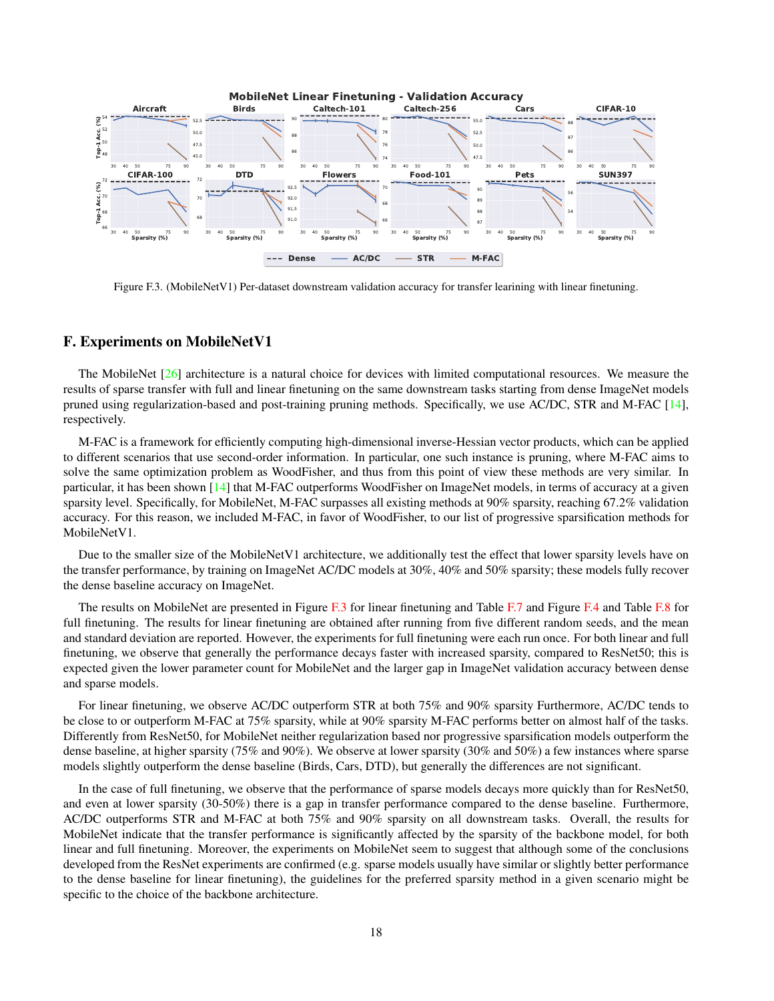<span id="page-17-1"></span><span id="page-17-0"></span>

Figure F.3. (MobileNetV1) Per-dataset downstream validation accuracy for transfer learining with linear finetuning.

# F. Experiments on MobileNetV1

The MobileNet [\[26\]](#page-9-10) architecture is a natural choice for devices with limited computational resources. We measure the results of sparse transfer with full and linear finetuning on the same downstream tasks starting from dense ImageNet models pruned using regularization-based and post-training pruning methods. Specifically, we use AC/DC, STR and M-FAC [\[14\]](#page-8-8), respectively.

M-FAC is a framework for efficiently computing high-dimensional inverse-Hessian vector products, which can be applied to different scenarios that use second-order information. In particular, one such instance is pruning, where M-FAC aims to solve the same optimization problem as WoodFisher, and thus from this point of view these methods are very similar. In particular, it has been shown [\[14\]](#page-8-8) that M-FAC outperforms WoodFisher on ImageNet models, in terms of accuracy at a given sparsity level. Specifically, for MobileNet, M-FAC surpasses all existing methods at 90% sparsity, reaching 67.2% validation accuracy. For this reason, we included M-FAC, in favor of WoodFisher, to our list of progressive sparsification methods for MobileNetV1.

Due to the smaller size of the MobileNetV1 architecture, we additionally test the effect that lower sparsity levels have on the transfer performance, by training on ImageNet AC/DC models at 30%, 40% and 50% sparsity; these models fully recover the dense baseline accuracy on ImageNet.

The results on MobileNet are presented in Figure [F.3](#page-17-1) for linear finetuning and Table [F.7](#page-18-2) and Figure [F.4](#page-18-3) and Table [F.8](#page-18-4) for full finetuning. The results for linear finetuning are obtained after running from five different random seeds, and the mean and standard deviation are reported. However, the experiments for full finetuning were each run once. For both linear and full finetuning, we observe that generally the performance decays faster with increased sparsity, compared to ResNet50; this is expected given the lower parameter count for MobileNet and the larger gap in ImageNet validation accuracy between dense and sparse models.

For linear finetuning, we observe AC/DC outperform STR at both 75% and 90% sparsity Furthermore, AC/DC tends to be close to or outperform M-FAC at 75% sparsity, while at 90% sparsity M-FAC performs better on almost half of the tasks. Differently from ResNet50, for MobileNet neither regularization based nor progressive sparsification models outperform the dense baseline, at higher sparsity (75% and 90%). We observe at lower sparsity (30% and 50%) a few instances where sparse models slightly outperform the dense baseline (Birds, Cars, DTD), but generally the differences are not significant.

In the case of full finetuning, we observe that the performance of sparse models decays more quickly than for ResNet50, and even at lower sparsity (30-50%) there is a gap in transfer performance compared to the dense baseline. Furthermore, AC/DC outperforms STR and M-FAC at both 75% and 90% sparsity on all downstream tasks. Overall, the results for MobileNet indicate that the transfer performance is significantly affected by the sparsity of the backbone model, for both linear and full finetuning. Moreover, the experiments on MobileNet seem to suggest that although some of the conclusions developed from the ResNet experiments are confirmed (e.g. sparse models usually have similar or slightly better performance to the dense baseline for linear finetuning), the guidelines for the preferred sparsity method in a given scenario might be specific to the choice of the backbone architecture.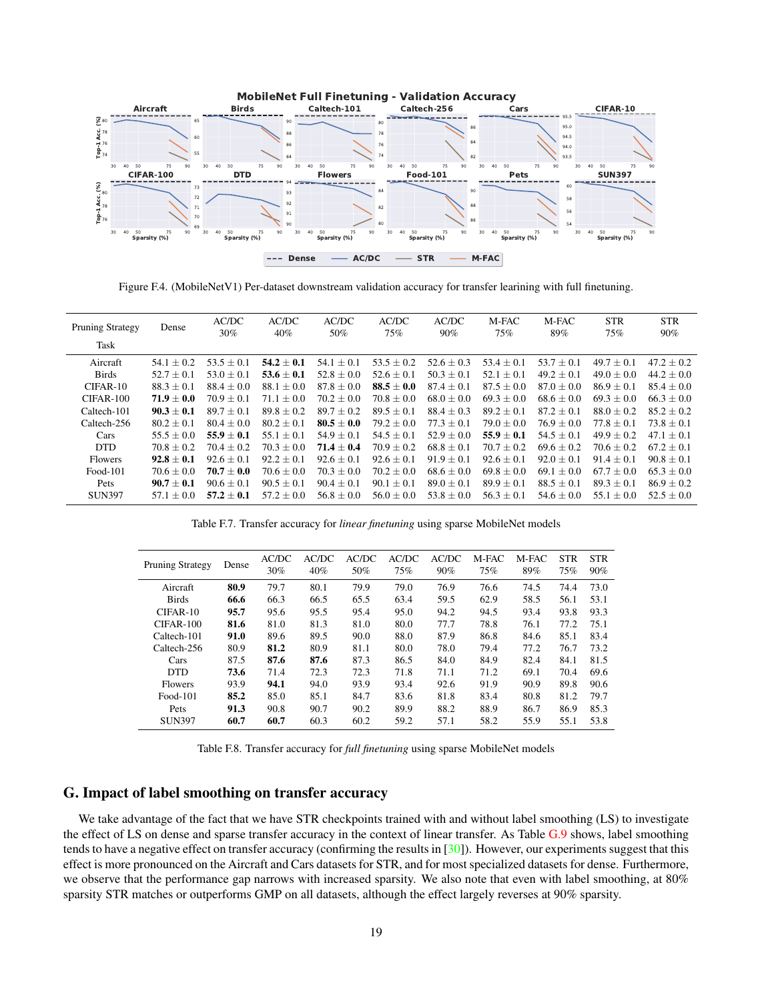<span id="page-18-3"></span><span id="page-18-1"></span>

Figure F.4. (MobileNetV1) Per-dataset downstream validation accuracy for transfer learining with full finetuning.

<span id="page-18-2"></span>

| Dense          | AC/DC<br>$30\%$ | AC/DC<br>$40\%$ | AC/DC<br>50%   | AC/DC<br>75%   | AC/DC<br>90%   | M-FAC<br>75%   | M-FAC<br>89%   | <b>STR</b><br>75% | <b>STR</b><br>90% |
|----------------|-----------------|-----------------|----------------|----------------|----------------|----------------|----------------|-------------------|-------------------|
|                |                 |                 |                |                |                |                |                |                   |                   |
| $54.1 + 0.2$   | $53.5 + 0.1$    | $54.2 \pm 0.1$  | $54.1 \pm 0.1$ | $53.5 \pm 0.2$ | $52.6 \pm 0.3$ | $53.4 \pm 0.1$ | $53.7 \pm 0.1$ | $49.7 + 0.1$      | $47.2 \pm 0.2$    |
| $52.7 + 0.1$   | $53.0 + 0.1$    | $53.6 \pm 0.1$  | $52.8 \pm 0.0$ | $52.6 \pm 0.1$ | $50.3 \pm 0.1$ | $52.1 \pm 0.1$ | $49.2 \pm 0.1$ | $49.0 + 0.0$      | $44.2 \pm 0.0$    |
| $88.3 \pm 0.1$ | $88.4 \pm 0.0$  | $88.1 \pm 0.0$  | $87.8 \pm 0.0$ | $88.5 \pm 0.0$ | $87.4 \pm 0.1$ | $87.5 \pm 0.0$ | $87.0 \pm 0.0$ | $86.9 \pm 0.1$    | $85.4 \pm 0.0$    |
| $71.9 \pm 0.0$ | $70.9 + 0.1$    | $71.1 \pm 0.0$  | $70.2 \pm 0.0$ | $70.8 \pm 0.0$ | $68.0 \pm 0.0$ | $69.3 + 0.0$   | $68.6 \pm 0.0$ | $69.3 + 0.0$      | $66.3 + 0.0$      |
| $90.3 \pm 0.1$ | $89.7 + 0.1$    | $89.8 \pm 0.2$  | $89.7 \pm 0.2$ | $89.5 + 0.1$   | $88.4 \pm 0.3$ | $89.2 \pm 0.1$ | $87.2 + 0.1$   | $88.0 + 0.2$      | $85.2 \pm 0.2$    |
| $80.2 + 0.1$   | $80.4 \pm 0.0$  | $80.2 + 0.1$    | $80.5 \pm 0.0$ | $79.2 + 0.0$   | $77.3 + 0.1$   | $79.0 \pm 0.0$ | $76.9 + 0.0$   | $77.8 + 0.1$      | $73.8 + 0.1$      |
| $55.5 + 0.0$   | $55.9 \pm 0.1$  | $55.1 \pm 0.1$  | $54.9 \pm 0.1$ | $54.5 \pm 0.1$ | $52.9 \pm 0.0$ | $55.9 \pm 0.1$ | $54.5 \pm 0.1$ | $49.9 \pm 0.2$    | $47.1 \pm 0.1$    |
| $70.8 \pm 0.2$ | $70.4 \pm 0.2$  | $70.3 \pm 0.0$  | $71.4 \pm 0.4$ | $70.9 + 0.2$   | $68.8 \pm 0.1$ | $70.7 \pm 0.2$ | $69.6 \pm 0.2$ | $70.6 + 0.2$      | $67.2 \pm 0.1$    |
| $92.8 \pm 0.1$ | $92.6 + 0.1$    | $92.2 \pm 0.1$  | $92.6 \pm 0.1$ | $92.6 \pm 0.1$ | $91.9 \pm 0.1$ | $92.6 \pm 0.1$ | $92.0 \pm 0.1$ | $91.4 + 0.1$      | $90.8 \pm 0.1$    |
| $70.6 + 0.0$   | $70.7 \pm 0.0$  | $70.6 + 0.0$    | $70.3 + 0.0$   | $70.2 + 0.0$   | $68.6 + 0.0$   | $69.8 \pm 0.0$ | $69.1 + 0.0$   | $67.7 + 0.0$      | $65.3 + 0.0$      |
| $90.7 + 0.1$   | $90.6 + 0.1$    | $90.5 \pm 0.1$  | $90.4 \pm 0.1$ | $90.1 \pm 0.1$ | $89.0 \pm 0.1$ | $89.9 \pm 0.1$ | $88.5 \pm 0.1$ | $89.3 \pm 0.1$    | $86.9 + 0.2$      |
| $57.1 \pm 0.0$ | $57.2 + 0.1$    | $57.2 \pm 0.0$  | $56.8 + 0.0$   | $56.0 \pm 0.0$ | $53.8 \pm 0.0$ | $56.3 \pm 0.1$ | $54.6 + 0.0$   | $55.1 + 0.0$      | $52.5 + 0.0$      |
|                |                 |                 |                |                |                |                |                |                   |                   |

Table F.7. Transfer accuracy for *linear finetuning* using sparse MobileNet models

<span id="page-18-4"></span>

| <b>Pruning Strategy</b> | Dense | AC/DC<br>30% | AC/DC<br>40% | AC/DC<br>50% | AC/DC<br>75% | AC/DC<br>90% | M-FAC<br>75% | M-FAC<br>89% | <b>STR</b><br>75% | <b>STR</b><br>90% |
|-------------------------|-------|--------------|--------------|--------------|--------------|--------------|--------------|--------------|-------------------|-------------------|
| Aircraft                | 80.9  | 79.7         | 80.1         | 79.9         | 79.0         | 76.9         | 76.6         | 74.5         | 74.4              | 73.0              |
| <b>Birds</b>            | 66.6  | 66.3         | 66.5         | 65.5         | 63.4         | 59.5         | 62.9         | 58.5         | 56.1              | 53.1              |
| $CIFAR-10$              | 95.7  | 95.6         | 95.5         | 95.4         | 95.0         | 94.2         | 94.5         | 93.4         | 93.8              | 93.3              |
| $CIFAR-100$             | 81.6  | 81.0         | 81.3         | 81.0         | 80.0         | 77.7         | 78.8         | 76.1         | 77.2              | 75.1              |
| Caltech-101             | 91.0  | 89.6         | 89.5         | 90.0         | 88.0         | 87.9         | 86.8         | 84.6         | 85.1              | 83.4              |
| Caltech-256             | 80.9  | 81.2         | 80.9         | 81.1         | 80.0         | 78.0         | 79.4         | 77.2         | 76.7              | 73.2              |
| Cars                    | 87.5  | 87.6         | 87.6         | 87.3         | 86.5         | 84.0         | 84.9         | 82.4         | 84.1              | 81.5              |
| <b>DTD</b>              | 73.6  | 71.4         | 72.3         | 72.3         | 71.8         | 71.1         | 71.2         | 69.1         | 70.4              | 69.6              |
| <b>Flowers</b>          | 93.9  | 94.1         | 94.0         | 93.9         | 93.4         | 92.6         | 91.9         | 90.9         | 89.8              | 90.6              |
| Food-101                | 85.2  | 85.0         | 85.1         | 84.7         | 83.6         | 81.8         | 83.4         | 80.8         | 81.2              | 79.7              |
| Pets                    | 91.3  | 90.8         | 90.7         | 90.2         | 89.9         | 88.2         | 88.9         | 86.7         | 86.9              | 85.3              |
| <b>SUN397</b>           | 60.7  | 60.7         | 60.3         | 60.2         | 59.2         | 57.1         | 58.2         | 55.9         | 55.1              | 53.8              |

Table F.8. Transfer accuracy for *full finetuning* using sparse MobileNet models

## <span id="page-18-0"></span>G. Impact of label smoothing on transfer accuracy

We take advantage of the fact that we have STR checkpoints trained with and without label smoothing (LS) to investigate the effect of LS on dense and sparse transfer accuracy in the context of linear transfer. As Table [G.9](#page-19-0) shows, label smoothing tends to have a negative effect on transfer accuracy (confirming the results in [\[30\]](#page-9-5)). However, our experiments suggest that this effect is more pronounced on the Aircraft and Cars datasets for STR, and for most specialized datasets for dense. Furthermore, we observe that the performance gap narrows with increased sparsity. We also note that even with label smoothing, at 80% sparsity STR matches or outperforms GMP on all datasets, although the effect largely reverses at 90% sparsity.